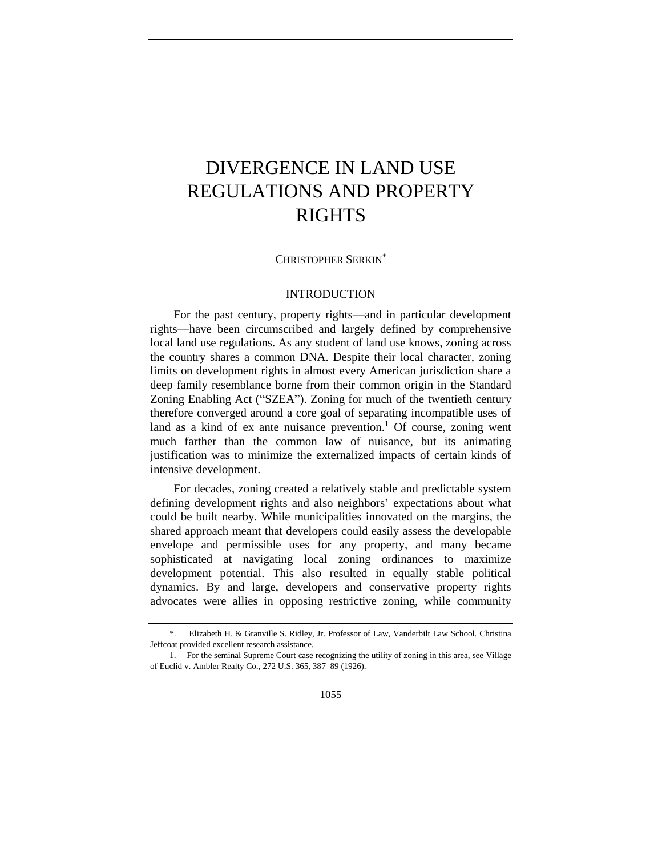# <span id="page-0-0"></span>DIVERGENCE IN LAND USE REGULATIONS AND PROPERTY RIGHTS

CHRISTOPHER SERKIN\*

#### INTRODUCTION

For the past century, property rights—and in particular development rights—have been circumscribed and largely defined by comprehensive local land use regulations. As any student of land use knows, zoning across the country shares a common DNA. Despite their local character, zoning limits on development rights in almost every American jurisdiction share a deep family resemblance borne from their common origin in the Standard Zoning Enabling Act ("SZEA"). Zoning for much of the twentieth century therefore converged around a core goal of separating incompatible uses of land as a kind of ex ante nuisance prevention.<sup>1</sup> Of course, zoning went much farther than the common law of nuisance, but its animating justification was to minimize the externalized impacts of certain kinds of intensive development.

For decades, zoning created a relatively stable and predictable system defining development rights and also neighbors' expectations about what could be built nearby. While municipalities innovated on the margins, the shared approach meant that developers could easily assess the developable envelope and permissible uses for any property, and many became sophisticated at navigating local zoning ordinances to maximize development potential. This also resulted in equally stable political dynamics. By and large, developers and conservative property rights advocates were allies in opposing restrictive zoning, while community

<sup>\*.</sup> Elizabeth H. & Granville S. Ridley, Jr. Professor of Law, Vanderbilt Law School. Christina Jeffcoat provided excellent research assistance.

<sup>1.</sup> For the seminal Supreme Court case recognizing the utility of zoning in this area, see Village of Euclid v. Ambler Realty Co., 272 U.S. 365, 387–89 (1926).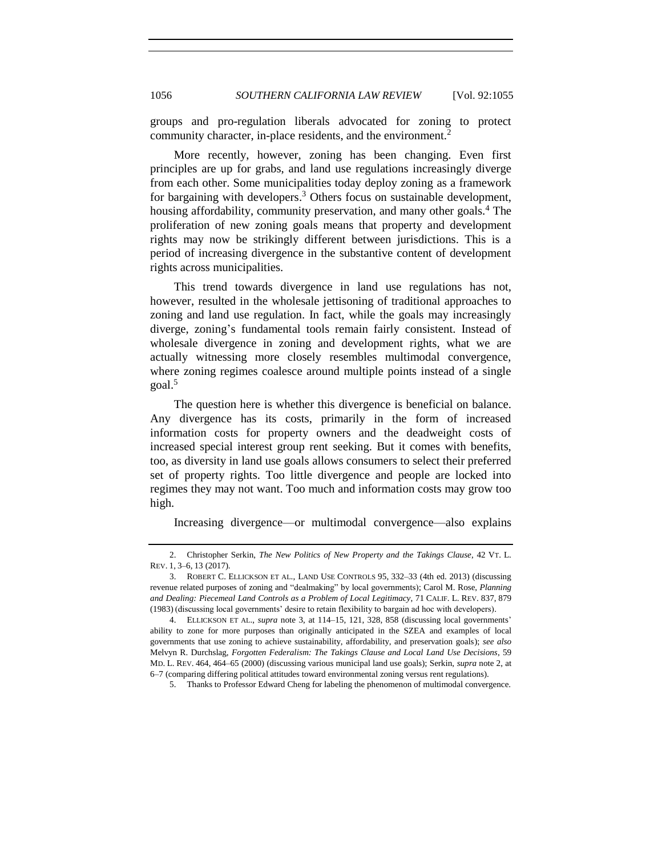groups and pro-regulation liberals advocated for zoning to protect community character, in-place residents, and the environment.<sup>2</sup>

More recently, however, zoning has been changing. Even first principles are up for grabs, and land use regulations increasingly diverge from each other. Some municipalities today deploy zoning as a framework for bargaining with developers. <sup>3</sup> Others focus on sustainable development, housing affordability, community preservation, and many other goals.<sup>4</sup> The proliferation of new zoning goals means that property and development rights may now be strikingly different between jurisdictions. This is a period of increasing divergence in the substantive content of development rights across municipalities.

This trend towards divergence in land use regulations has not, however, resulted in the wholesale jettisoning of traditional approaches to zoning and land use regulation. In fact, while the goals may increasingly diverge, zoning's fundamental tools remain fairly consistent. Instead of wholesale divergence in zoning and development rights, what we are actually witnessing more closely resembles multimodal convergence, where zoning regimes coalesce around multiple points instead of a single goal.<sup>5</sup>

The question here is whether this divergence is beneficial on balance. Any divergence has its costs, primarily in the form of increased information costs for property owners and the deadweight costs of increased special interest group rent seeking. But it comes with benefits, too, as diversity in land use goals allows consumers to select their preferred set of property rights. Too little divergence and people are locked into regimes they may not want. Too much and information costs may grow too high.

Increasing divergence—or multimodal convergence—also explains

<span id="page-1-0"></span>

<sup>2.</sup> Christopher Serkin, *The New Politics of New Property and the Takings Clause*, 42 VT. L. REV. 1, 3–6, 13 (2017).

<sup>3.</sup> ROBERT C. ELLICKSON ET AL., LAND USE CONTROLS 95, 332–33 (4th ed. 2013) (discussing revenue related purposes of zoning and "dealmaking" by local governments); Carol M. Rose, *Planning and Dealing: Piecemeal Land Controls as a Problem of Local Legitimacy*, 71 CALIF. L. REV. 837, 879 (1983) (discussing local governments' desire to retain flexibility to bargain ad hoc with developers).

<sup>4.</sup> ELLICKSON ET AL., *supra* note [3,](#page-0-0) at 114–15, 121, 328, 858 (discussing local governments' ability to zone for more purposes than originally anticipated in the SZEA and examples of local governments that use zoning to achieve sustainability, affordability, and preservation goals); *see also* Melvyn R. Durchslag, *Forgotten Federalism: The Takings Clause and Local Land Use Decisions*, 59 MD. L. REV. 464, 464–65 (2000) (discussing various municipal land use goals); Serkin, *supra* not[e 2,](#page-0-0) at 6–7 (comparing differing political attitudes toward environmental zoning versus rent regulations).

<sup>5.</sup> Thanks to Professor Edward Cheng for labeling the phenomenon of multimodal convergence.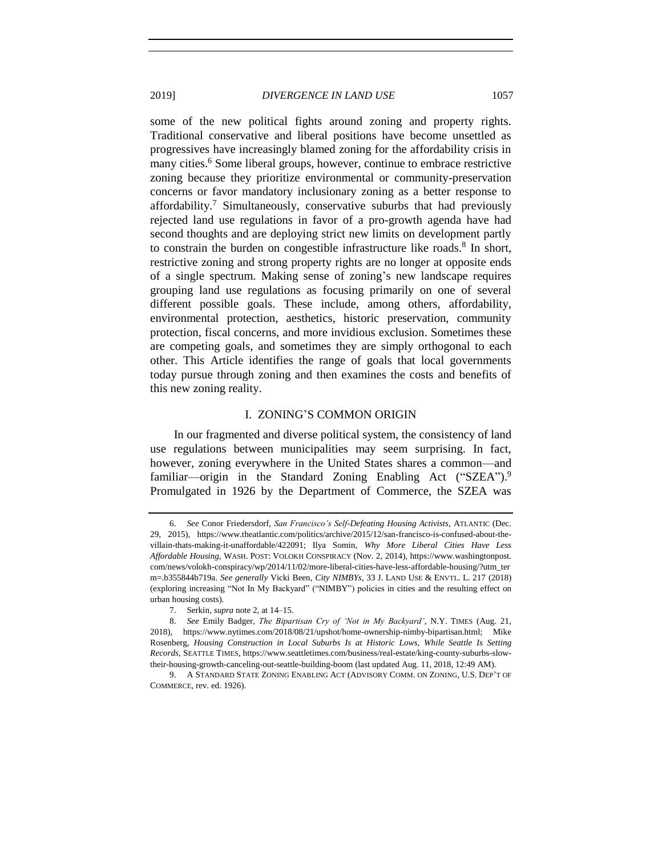some of the new political fights around zoning and property rights. Traditional conservative and liberal positions have become unsettled as progressives have increasingly blamed zoning for the affordability crisis in many cities.<sup>6</sup> Some liberal groups, however, continue to embrace restrictive zoning because they prioritize environmental or community-preservation concerns or favor mandatory inclusionary zoning as a better response to affordability.<sup>7</sup> Simultaneously, conservative suburbs that had previously rejected land use regulations in favor of a pro-growth agenda have had second thoughts and are deploying strict new limits on development partly to constrain the burden on congestible infrastructure like roads.<sup>8</sup> In short, restrictive zoning and strong property rights are no longer at opposite ends of a single spectrum. Making sense of zoning's new landscape requires grouping land use regulations as focusing primarily on one of several different possible goals. These include, among others, affordability, environmental protection, aesthetics, historic preservation, community protection, fiscal concerns, and more invidious exclusion. Sometimes these are competing goals, and sometimes they are simply orthogonal to each other. This Article identifies the range of goals that local governments today pursue through zoning and then examines the costs and benefits of this new zoning reality.

#### I. ZONING'S COMMON ORIGIN

In our fragmented and diverse political system, the consistency of land use regulations between municipalities may seem surprising. In fact, however, zoning everywhere in the United States shares a common—and familiar—origin in the Standard Zoning Enabling Act ("SZEA").<sup>9</sup> Promulgated in 1926 by the Department of Commerce, the SZEA was

<span id="page-2-0"></span>

<sup>6.</sup> *See* Conor Friedersdorf, *San Francisco's Self-Defeating Housing Activists*, ATLANTIC (Dec. 29, 2015), https://www.theatlantic.com/politics/archive/2015/12/san-francisco-is-confused-about-thevillain-thats-making-it-unaffordable/422091; Ilya Somin, *Why More Liberal Cities Have Less Affordable Housing*, WASH. POST: VOLOKH CONSPIRACY (Nov. 2, 2014), https://www.washingtonpost. com/news/volokh-conspiracy/wp/2014/11/02/more-liberal-cities-have-less-affordable-housing/?utm\_ter m=.b355844b719a. *See generally* Vicki Been, *City NIMBYs*, 33 J. LAND USE & ENVTL. L. 217 (2018) (exploring increasing "Not In My Backyard" ("NIMBY") policies in cities and the resulting effect on urban housing costs)*.* 

<sup>7.</sup> Serkin, *supra* note [2,](#page-0-0) at 14–15.

<sup>8.</sup> *See* Emily Badger, *The Bipartisan Cry of 'Not in My Backyard'*, N.Y. TIMES (Aug. 21, 2018), https://www.nytimes.com/2018/08/21/upshot/home-ownership-nimby-bipartisan.html; Mike Rosenberg, *Housing Construction in Local Suburbs Is at Historic Lows, While Seattle Is Setting Records*, SEATTLE TIMES, https://www.seattletimes.com/business/real-estate/king-county-suburbs-slowtheir-housing-growth-canceling-out-seattle-building-boom (last updated Aug. 11, 2018, 12:49 AM).

<sup>9.</sup> A STANDARD STATE ZONING ENABLING ACT (ADVISORY COMM. ON ZONING, U.S. DEP'T OF COMMERCE, rev. ed. 1926).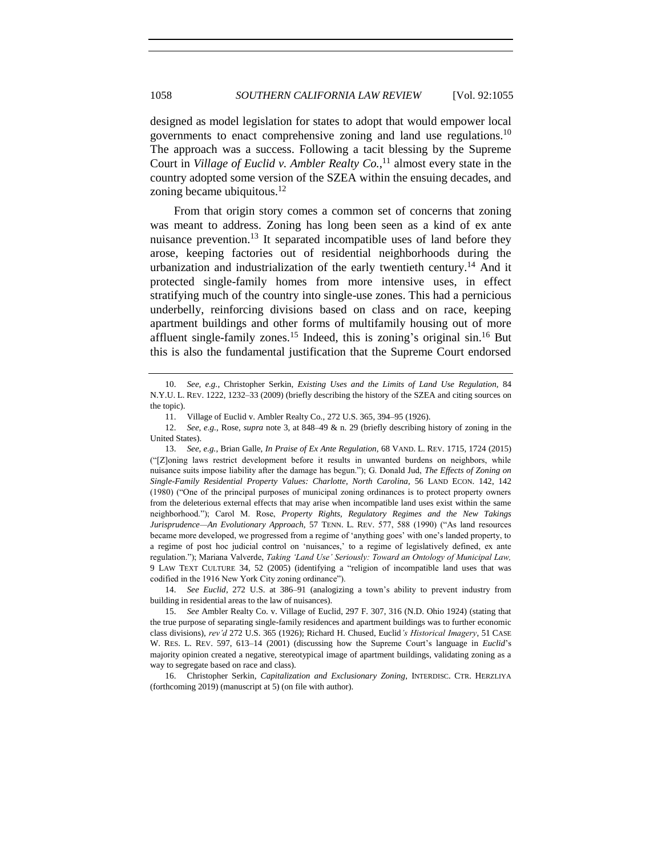designed as model legislation for states to adopt that would empower local governments to enact comprehensive zoning and land use regulations.<sup>10</sup> The approach was a success. Following a tacit blessing by the Supreme Court in *Village of Euclid v. Ambler Realty Co.*, <sup>11</sup> almost every state in the country adopted some version of the SZEA within the ensuing decades, and zoning became ubiquitous. $12$ 

From that origin story comes a common set of concerns that zoning was meant to address. Zoning has long been seen as a kind of ex ante nuisance prevention.<sup>13</sup> It separated incompatible uses of land before they arose, keeping factories out of residential neighborhoods during the urbanization and industrialization of the early twentieth century.<sup>14</sup> And it protected single-family homes from more intensive uses, in effect stratifying much of the country into single-use zones. This had a pernicious underbelly, reinforcing divisions based on class and on race, keeping apartment buildings and other forms of multifamily housing out of more affluent single-family zones.<sup>15</sup> Indeed, this is zoning's original sin.<sup>16</sup> But this is also the fundamental justification that the Supreme Court endorsed

<span id="page-3-0"></span>

<sup>10.</sup> *See, e.g.*, Christopher Serkin, *Existing Uses and the Limits of Land Use Regulation,* 84 N.Y.U. L. REV. 1222, 1232–33 (2009) (briefly describing the history of the SZEA and citing sources on the topic).

<sup>11.</sup> Village of Euclid v. Ambler Realty Co., 272 U.S. 365, 394–95 (1926).

<sup>12.</sup> *See, e.g.*, Rose, *supra* note [3,](#page-0-0) at 848–49 & n. 29 (briefly describing history of zoning in the United States).

<sup>13.</sup> *See, e.g.*, Brian Galle, *In Praise of Ex Ante Regulation,* 68 VAND. L. REV. 1715, 1724 (2015) ("[Z]oning laws restrict development before it results in unwanted burdens on neighbors, while nuisance suits impose liability after the damage has begun."); G. Donald Jud, *The Effects of Zoning on Single-Family Residential Property Values: Charlotte, North Carolina,* 56 LAND ECON. 142, 142 (1980) ("One of the principal purposes of municipal zoning ordinances is to protect property owners from the deleterious external effects that may arise when incompatible land uses exist within the same neighborhood."); Carol M. Rose, *Property Rights, Regulatory Regimes and the New Takings Jurisprudence—An Evolutionary Approach,* 57 TENN. L. REV. 577, 588 (1990) ("As land resources became more developed, we progressed from a regime of 'anything goes' with one's landed property, to a regime of post hoc judicial control on 'nuisances,' to a regime of legislatively defined, ex ante regulation."); Mariana Valverde, *Taking 'Land Use' Seriously: Toward an Ontology of Municipal Law,* 9 LAW TEXT CULTURE 34, 52 (2005) (identifying a "religion of incompatible land uses that was codified in the 1916 New York City zoning ordinance").

<sup>14.</sup> *See Euclid*, 272 U.S. at 386–91 (analogizing a town's ability to prevent industry from building in residential areas to the law of nuisances).

<sup>15.</sup> *See* Ambler Realty Co. v. Village of Euclid, 297 F. 307, 316 (N.D. Ohio 1924) (stating that the true purpose of separating single-family residences and apartment buildings was to further economic class divisions), *rev'd* 272 U.S. 365 (1926); Richard H. Chused, Euclid*'s Historical Imagery*, 51 CASE W. RES. L. REV. 597, 613–14 (2001) (discussing how the Supreme Court's language in *Euclid*'s majority opinion created a negative, stereotypical image of apartment buildings, validating zoning as a way to segregate based on race and class).

<sup>16.</sup> Christopher Serkin, *Capitalization and Exclusionary Zoning*, INTERDISC. CTR. HERZLIYA (forthcoming 2019) (manuscript at 5) (on file with author).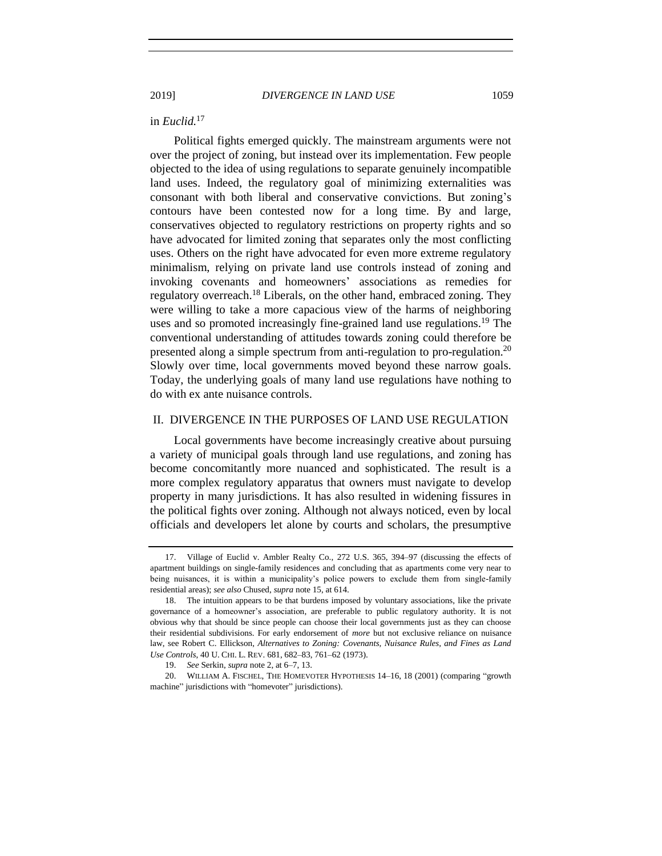#### in *Euclid.*<sup>17</sup>

Political fights emerged quickly. The mainstream arguments were not over the project of zoning, but instead over its implementation. Few people objected to the idea of using regulations to separate genuinely incompatible land uses. Indeed, the regulatory goal of minimizing externalities was consonant with both liberal and conservative convictions. But zoning's contours have been contested now for a long time. By and large, conservatives objected to regulatory restrictions on property rights and so have advocated for limited zoning that separates only the most conflicting uses. Others on the right have advocated for even more extreme regulatory minimalism, relying on private land use controls instead of zoning and invoking covenants and homeowners' associations as remedies for regulatory overreach.<sup>18</sup> Liberals, on the other hand, embraced zoning. They were willing to take a more capacious view of the harms of neighboring uses and so promoted increasingly fine-grained land use regulations.<sup>19</sup> The conventional understanding of attitudes towards zoning could therefore be presented along a simple spectrum from anti-regulation to pro-regulation.<sup>20</sup> Slowly over time, local governments moved beyond these narrow goals. Today, the underlying goals of many land use regulations have nothing to do with ex ante nuisance controls.

#### II. DIVERGENCE IN THE PURPOSES OF LAND USE REGULATION

Local governments have become increasingly creative about pursuing a variety of municipal goals through land use regulations, and zoning has become concomitantly more nuanced and sophisticated. The result is a more complex regulatory apparatus that owners must navigate to develop property in many jurisdictions. It has also resulted in widening fissures in the political fights over zoning. Although not always noticed, even by local officials and developers let alone by courts and scholars, the presumptive

<sup>17.</sup> Village of Euclid v. Ambler Realty Co., 272 U.S. 365, 394–97 (discussing the effects of apartment buildings on single-family residences and concluding that as apartments come very near to being nuisances, it is within a municipality's police powers to exclude them from single-family residential areas); *see also* Chused, *supra* note [15,](#page-2-0) at 614.

<sup>18.</sup> The intuition appears to be that burdens imposed by voluntary associations, like the private governance of a homeowner's association, are preferable to public regulatory authority. It is not obvious why that should be since people can choose their local governments just as they can choose their residential subdivisions. For early endorsement of *more* but not exclusive reliance on nuisance law, see Robert C. Ellickson, *Alternatives to Zoning: Covenants, Nuisance Rules, and Fines as Land Use Controls*, 40 U. CHI. L. REV. 681, 682–83, 761–62 (1973).

<sup>19.</sup> *See* Serkin, *supra* not[e 2,](#page-0-0) at 6–7, 13.

<sup>20.</sup> WILLIAM A. FISCHEL, THE HOMEVOTER HYPOTHESIS 14–16, 18 (2001) (comparing "growth machine" jurisdictions with "homevoter" jurisdictions).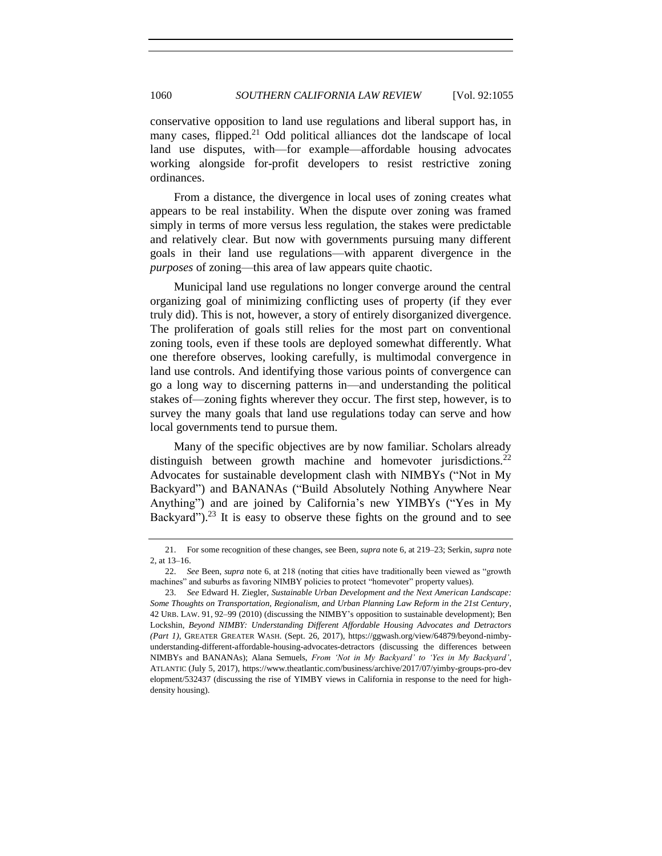conservative opposition to land use regulations and liberal support has, in many cases, flipped.<sup>21</sup> Odd political alliances dot the landscape of local land use disputes, with—for example—affordable housing advocates working alongside for-profit developers to resist restrictive zoning ordinances.

From a distance, the divergence in local uses of zoning creates what appears to be real instability. When the dispute over zoning was framed simply in terms of more versus less regulation, the stakes were predictable and relatively clear. But now with governments pursuing many different goals in their land use regulations—with apparent divergence in the *purposes* of zoning—this area of law appears quite chaotic.

Municipal land use regulations no longer converge around the central organizing goal of minimizing conflicting uses of property (if they ever truly did). This is not, however, a story of entirely disorganized divergence. The proliferation of goals still relies for the most part on conventional zoning tools, even if these tools are deployed somewhat differently. What one therefore observes, looking carefully, is multimodal convergence in land use controls. And identifying those various points of convergence can go a long way to discerning patterns in—and understanding the political stakes of—zoning fights wherever they occur. The first step, however, is to survey the many goals that land use regulations today can serve and how local governments tend to pursue them.

Many of the specific objectives are by now familiar. Scholars already distinguish between growth machine and homevoter jurisdictions.<sup>22</sup> Advocates for sustainable development clash with NIMBYs ("Not in My Backyard") and BANANAs ("Build Absolutely Nothing Anywhere Near Anything") and are joined by California's new YIMBYs ("Yes in My Backyard").<sup>23</sup> It is easy to observe these fights on the ground and to see

<sup>21.</sup> For some recognition of these changes, see Been, *supra* note [6,](#page-1-0) at 219–23; Serkin, *supra* note [2,](#page-0-0) at 13–16.

<sup>22.</sup> *See* Been, *supra* note [6,](#page-1-0) at 218 (noting that cities have traditionally been viewed as "growth machines" and suburbs as favoring NIMBY policies to protect "homevoter" property values).

<sup>23.</sup> *See* Edward H. Ziegler, *Sustainable Urban Development and the Next American Landscape: Some Thoughts on Transportation, Regionalism, and Urban Planning Law Reform in the 21st Century*, 42 URB. LAW. 91, 92–99 (2010) (discussing the NIMBY's opposition to sustainable development); Ben Lockshin, *Beyond NIMBY: Understanding Different Affordable Housing Advocates and Detractors (Part 1)*, GREATER GREATER WASH. (Sept. 26, 2017), https://ggwash.org/view/64879/beyond-nimbyunderstanding-different-affordable-housing-advocates-detractors (discussing the differences between NIMBYs and BANANAs); Alana Semuels, *From 'Not in My Backyard' to 'Yes in My Backyard'*, ATLANTIC (July 5, 2017), https://www.theatlantic.com/business/archive/2017/07/yimby-groups-pro-dev elopment/532437 (discussing the rise of YIMBY views in California in response to the need for highdensity housing).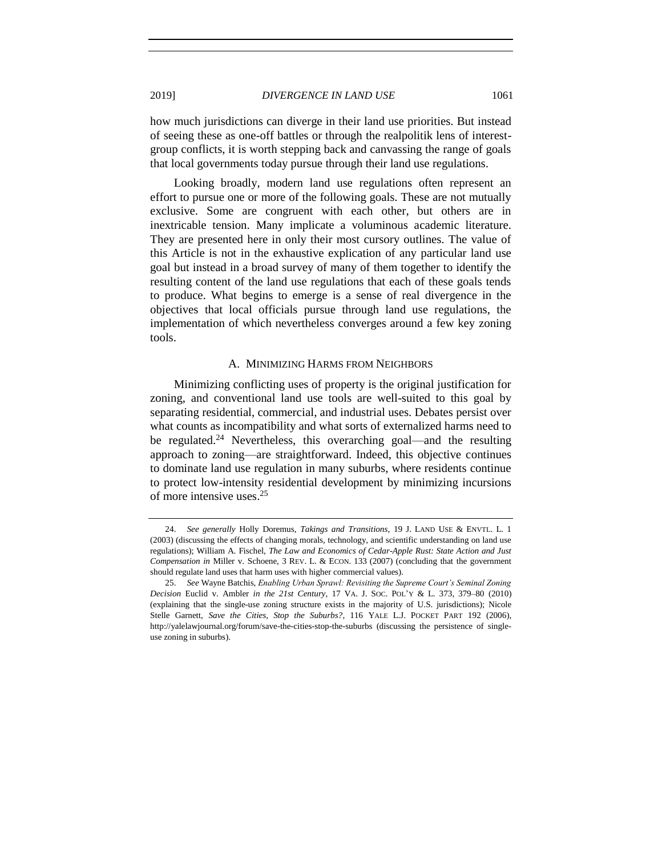how much jurisdictions can diverge in their land use priorities. But instead of seeing these as one-off battles or through the realpolitik lens of interestgroup conflicts, it is worth stepping back and canvassing the range of goals that local governments today pursue through their land use regulations.

Looking broadly, modern land use regulations often represent an effort to pursue one or more of the following goals. These are not mutually exclusive. Some are congruent with each other, but others are in inextricable tension. Many implicate a voluminous academic literature. They are presented here in only their most cursory outlines. The value of this Article is not in the exhaustive explication of any particular land use goal but instead in a broad survey of many of them together to identify the resulting content of the land use regulations that each of these goals tends to produce. What begins to emerge is a sense of real divergence in the objectives that local officials pursue through land use regulations, the implementation of which nevertheless converges around a few key zoning tools.

#### A. MINIMIZING HARMS FROM NEIGHBORS

Minimizing conflicting uses of property is the original justification for zoning, and conventional land use tools are well-suited to this goal by separating residential, commercial, and industrial uses. Debates persist over what counts as incompatibility and what sorts of externalized harms need to be regulated.<sup>24</sup> Nevertheless, this overarching goal—and the resulting approach to zoning—are straightforward. Indeed, this objective continues to dominate land use regulation in many suburbs, where residents continue to protect low-intensity residential development by minimizing incursions of more intensive uses. 25

<sup>24.</sup> *See generally* Holly Doremus, *Takings and Transitions*, 19 J. LAND USE & ENVTL. L. 1 (2003) (discussing the effects of changing morals, technology, and scientific understanding on land use regulations); William A. Fischel, *The Law and Economics of Cedar-Apple Rust: State Action and Just Compensation in* Miller v. Schoene, 3 REV. L. & ECON. 133 (2007) (concluding that the government should regulate land uses that harm uses with higher commercial values).

<sup>25.</sup> *See* Wayne Batchis, *Enabling Urban Sprawl: Revisiting the Supreme Court's Seminal Zoning Decision* Euclid v. Ambler *in the 21st Century*, 17 VA. J. SOC. POL'Y & L. 373, 379–80 (2010) (explaining that the single-use zoning structure exists in the majority of U.S. jurisdictions); Nicole Stelle Garnett, *Save the Cities, Stop the Suburbs?*, 116 YALE L.J. POCKET PART 192 (2006), http://yalelawjournal.org/forum/save-the-cities-stop-the-suburbs (discussing the persistence of singleuse zoning in suburbs).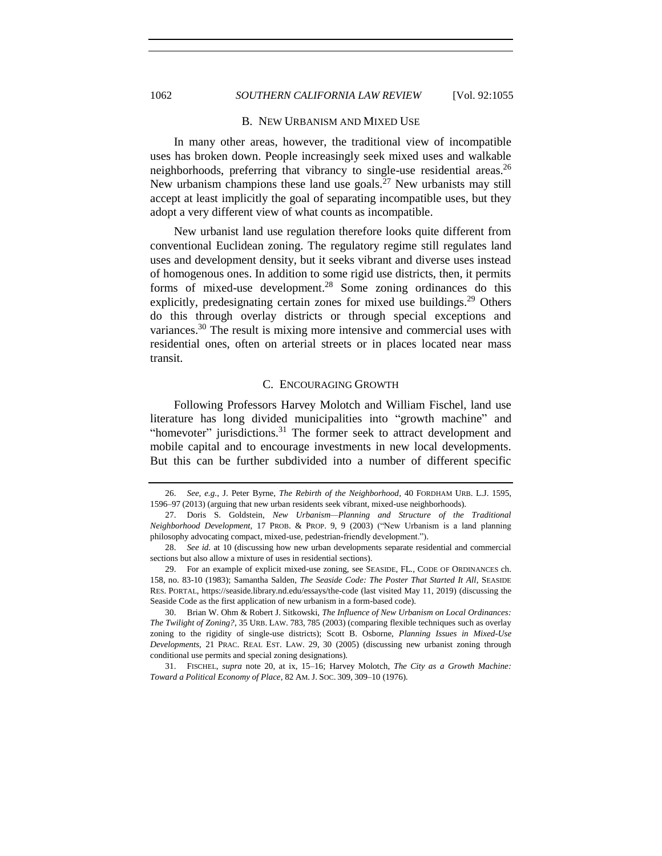# 1062 *SOUTHERN CALIFORNIA LAW REVIEW* [Vol. 92:1055

#### B. NEW URBANISM AND MIXED USE

In many other areas, however, the traditional view of incompatible uses has broken down. People increasingly seek mixed uses and walkable neighborhoods, preferring that vibrancy to single-use residential areas.<sup>26</sup> New urbanism champions these land use goals.<sup>27</sup> New urbanists may still accept at least implicitly the goal of separating incompatible uses, but they adopt a very different view of what counts as incompatible.

New urbanist land use regulation therefore looks quite different from conventional Euclidean zoning. The regulatory regime still regulates land uses and development density, but it seeks vibrant and diverse uses instead of homogenous ones. In addition to some rigid use districts, then, it permits forms of mixed-use development.<sup>28</sup> Some zoning ordinances do this explicitly, predesignating certain zones for mixed use buildings.<sup>29</sup> Others do this through overlay districts or through special exceptions and variances.<sup>30</sup> The result is mixing more intensive and commercial uses with residential ones, often on arterial streets or in places located near mass transit.

#### C. ENCOURAGING GROWTH

Following Professors Harvey Molotch and William Fischel, land use literature has long divided municipalities into "growth machine" and "homevoter" jurisdictions. $31$  The former seek to attract development and mobile capital and to encourage investments in new local developments. But this can be further subdivided into a number of different specific

<sup>26.</sup> *See, e.g.*, J. Peter Byrne, *The Rebirth of the Neighborhood*, 40 FORDHAM URB. L.J. 1595, 1596–97 (2013) (arguing that new urban residents seek vibrant, mixed-use neighborhoods).

<sup>27.</sup> Doris S. Goldstein, *New Urbanism—Planning and Structure of the Traditional Neighborhood Development*, 17 PROB. & PROP. 9, 9 (2003) ("New Urbanism is a land planning philosophy advocating compact, mixed-use, pedestrian-friendly development.").

<sup>28.</sup> *See id.* at 10 (discussing how new urban developments separate residential and commercial sections but also allow a mixture of uses in residential sections).

<sup>29.</sup> For an example of explicit mixed-use zoning, see SEASIDE, FL., CODE OF ORDINANCES ch. 158, no. 83-10 (1983); Samantha Salden, *The Seaside Code: The Poster That Started It All*, SEASIDE RES. PORTAL, https://seaside.library.nd.edu/essays/the-code (last visited May 11, 2019) (discussing the Seaside Code as the first application of new urbanism in a form-based code).

<sup>30.</sup> Brian W. Ohm & Robert J. Sitkowski, *The Influence of New Urbanism on Local Ordinances: The Twilight of Zoning?*, 35 URB. LAW. 783, 785 (2003) (comparing flexible techniques such as overlay zoning to the rigidity of single-use districts); Scott B. Osborne, *Planning Issues in Mixed-Use Developments,* 21 PRAC. REAL EST. LAW. 29, 30 (2005) (discussing new urbanist zoning through conditional use permits and special zoning designations).

<sup>31.</sup> FISCHEL, *supra* note [20,](#page-3-0) at ix, 15–16; Harvey Molotch, *The City as a Growth Machine: Toward a Political Economy of Place*, 82 AM. J. SOC. 309, 309–10 (1976).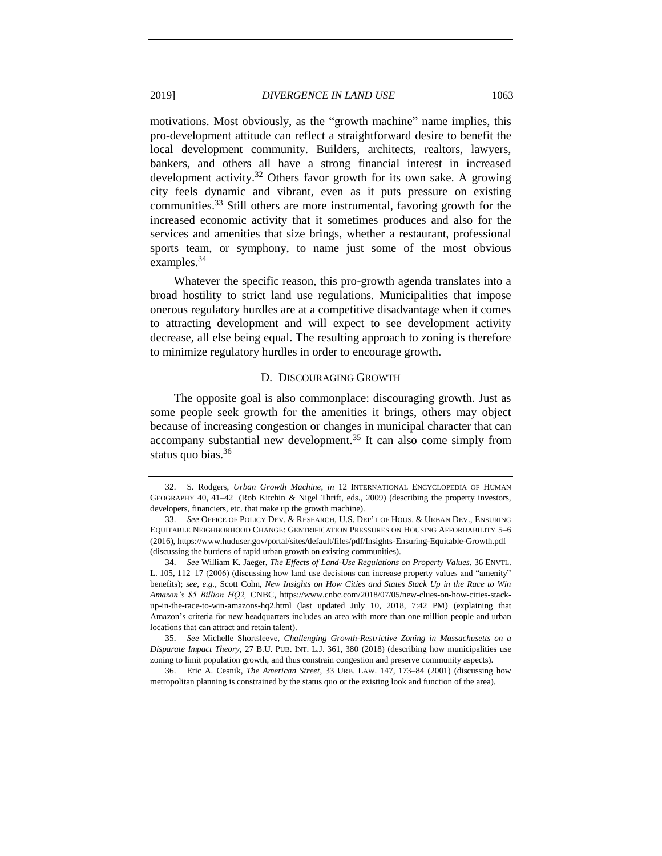motivations. Most obviously, as the "growth machine" name implies, this pro-development attitude can reflect a straightforward desire to benefit the local development community. Builders, architects, realtors, lawyers, bankers, and others all have a strong financial interest in increased development activity.<sup>32</sup> Others favor growth for its own sake. A growing city feels dynamic and vibrant, even as it puts pressure on existing communities.<sup>33</sup> Still others are more instrumental, favoring growth for the increased economic activity that it sometimes produces and also for the services and amenities that size brings, whether a restaurant, professional sports team, or symphony, to name just some of the most obvious examples.<sup>34</sup>

Whatever the specific reason, this pro-growth agenda translates into a broad hostility to strict land use regulations. Municipalities that impose onerous regulatory hurdles are at a competitive disadvantage when it comes to attracting development and will expect to see development activity decrease, all else being equal. The resulting approach to zoning is therefore to minimize regulatory hurdles in order to encourage growth.

#### D. DISCOURAGING GROWTH

The opposite goal is also commonplace: discouraging growth. Just as some people seek growth for the amenities it brings, others may object because of increasing congestion or changes in municipal character that can accompany substantial new development.<sup>35</sup> It can also come simply from status quo bias.<sup>36</sup>

<sup>32.</sup> S. Rodgers, *Urban Growth Machine*, *in* 12 INTERNATIONAL ENCYCLOPEDIA OF HUMAN GEOGRAPHY 40, 41–42 (Rob Kitchin & Nigel Thrift, eds., 2009) (describing the property investors, developers, financiers, etc. that make up the growth machine).

<sup>33.</sup> *See* OFFICE OF POLICY DEV. & RESEARCH, U.S. DEP'T OF HOUS. & URBAN DEV., ENSURING EQUITABLE NEIGHBORHOOD CHANGE: GENTRIFICATION PRESSURES ON HOUSING AFFORDABILITY 5–6 (2016), https://www.huduser.gov/portal/sites/default/files/pdf/Insights-Ensuring-Equitable-Growth.pdf (discussing the burdens of rapid urban growth on existing communities).

<sup>34.</sup> *See* William K. Jaeger, *The Effects of Land-Use Regulations on Property Values*, 36 ENVTL. L. 105, 112–17 (2006) (discussing how land use decisions can increase property values and "amenity" benefits); *see, e.g.*, Scott Cohn, *New Insights on How Cities and States Stack Up in the Race to Win Amazon's \$5 Billion HQ2,* CNBC, https://www.cnbc.com/2018/07/05/new-clues-on-how-cities-stackup-in-the-race-to-win-amazons-hq2.html (last updated July 10, 2018, 7:42 PM) (explaining that Amazon's criteria for new headquarters includes an area with more than one million people and urban locations that can attract and retain talent).

<sup>35.</sup> *See* Michelle Shortsleeve, *Challenging Growth-Restrictive Zoning in Massachusetts on a Disparate Impact Theory,* 27 B.U. PUB. INT. L.J. 361, 380 (2018) (describing how municipalities use zoning to limit population growth, and thus constrain congestion and preserve community aspects).

<sup>36.</sup> Eric A. Cesnik, *The American Street*, 33 URB. LAW. 147, 173–84 (2001) (discussing how metropolitan planning is constrained by the status quo or the existing look and function of the area).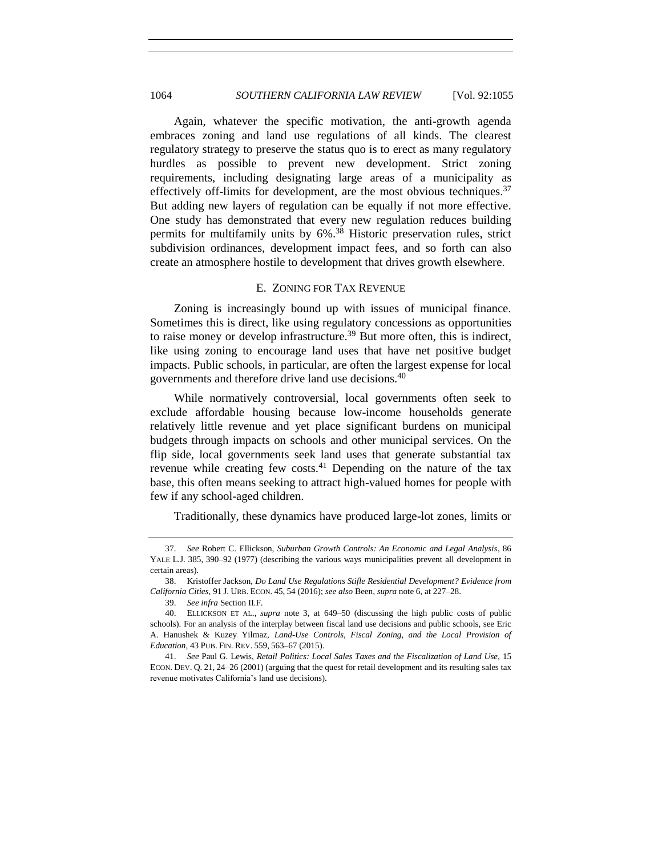<span id="page-9-0"></span>Again, whatever the specific motivation, the anti-growth agenda embraces zoning and land use regulations of all kinds. The clearest regulatory strategy to preserve the status quo is to erect as many regulatory hurdles as possible to prevent new development. Strict zoning requirements, including designating large areas of a municipality as effectively off-limits for development, are the most obvious techniques.  $37$ But adding new layers of regulation can be equally if not more effective. One study has demonstrated that every new regulation reduces building permits for multifamily units by 6%. <sup>38</sup> Historic preservation rules, strict subdivision ordinances, development impact fees, and so forth can also create an atmosphere hostile to development that drives growth elsewhere.

## E. ZONING FOR TAX REVENUE

Zoning is increasingly bound up with issues of municipal finance. Sometimes this is direct, like using regulatory concessions as opportunities to raise money or develop infrastructure.<sup>39</sup> But more often, this is indirect, like using zoning to encourage land uses that have net positive budget impacts. Public schools, in particular, are often the largest expense for local governments and therefore drive land use decisions.<sup>40</sup>

While normatively controversial, local governments often seek to exclude affordable housing because low-income households generate relatively little revenue and yet place significant burdens on municipal budgets through impacts on schools and other municipal services. On the flip side, local governments seek land uses that generate substantial tax revenue while creating few costs.<sup>41</sup> Depending on the nature of the tax base, this often means seeking to attract high-valued homes for people with few if any school-aged children.

Traditionally, these dynamics have produced large-lot zones, limits or

<sup>37.</sup> *See* Robert C. Ellickson, *Suburban Growth Controls: An Economic and Legal Analysis*, 86 YALE L.J. 385, 390–92 (1977) (describing the various ways municipalities prevent all development in certain areas).

<sup>38.</sup> Kristoffer Jackson, *Do Land Use Regulations Stifle Residential Development? Evidence from California Cities,* 91 J. URB. ECON. 45, 54 (2016); *see also* Been*, supra* note [6,](#page-1-0) at 227–28.

<sup>39.</sup> *See infra* Section II.F.

<sup>40.</sup> ELLICKSON ET AL., *supra* note [3,](#page-0-0) at 649–50 (discussing the high public costs of public schools). For an analysis of the interplay between fiscal land use decisions and public schools, see Eric A. Hanushek & Kuzey Yilmaz, *Land-Use Controls, Fiscal Zoning, and the Local Provision of Education*, 43 PUB. FIN. REV. 559, 563–67 (2015).

<sup>41.</sup> *See* Paul G. Lewis, *Retail Politics: Local Sales Taxes and the Fiscalization of Land Use,* 15 ECON. DEV. Q. 21, 24–26 (2001) (arguing that the quest for retail development and its resulting sales tax revenue motivates California's land use decisions).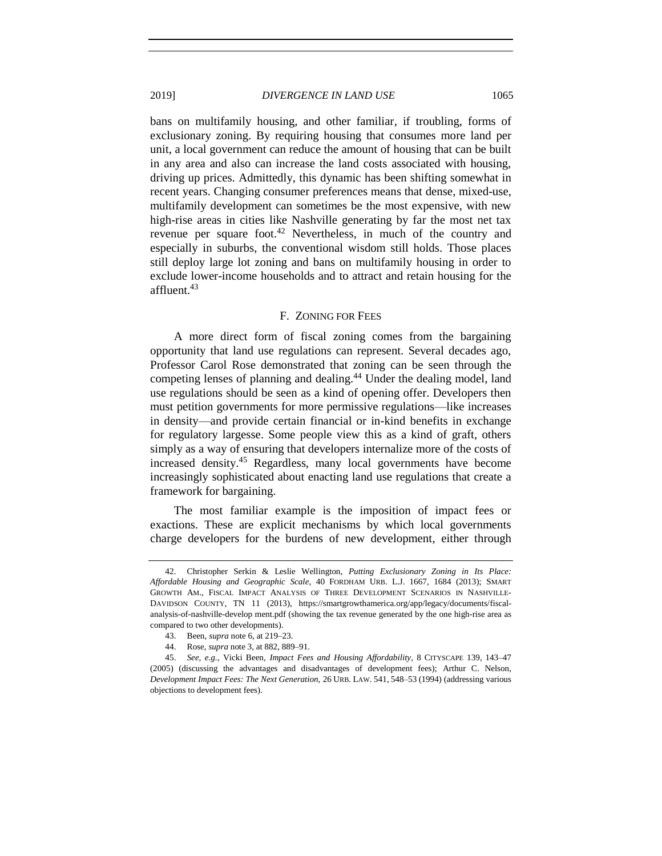bans on multifamily housing, and other familiar, if troubling, forms of exclusionary zoning. By requiring housing that consumes more land per unit, a local government can reduce the amount of housing that can be built in any area and also can increase the land costs associated with housing, driving up prices. Admittedly, this dynamic has been shifting somewhat in recent years. Changing consumer preferences means that dense, mixed-use, multifamily development can sometimes be the most expensive, with new high-rise areas in cities like Nashville generating by far the most net tax revenue per square foot.<sup>42</sup> Nevertheless, in much of the country and especially in suburbs, the conventional wisdom still holds. Those places still deploy large lot zoning and bans on multifamily housing in order to exclude lower-income households and to attract and retain housing for the affluent.<sup>43</sup>

#### F. ZONING FOR FEES

A more direct form of fiscal zoning comes from the bargaining opportunity that land use regulations can represent. Several decades ago, Professor Carol Rose demonstrated that zoning can be seen through the competing lenses of planning and dealing.<sup>44</sup> Under the dealing model, land use regulations should be seen as a kind of opening offer. Developers then must petition governments for more permissive regulations—like increases in density—and provide certain financial or in-kind benefits in exchange for regulatory largesse. Some people view this as a kind of graft, others simply as a way of ensuring that developers internalize more of the costs of increased density.<sup>45</sup> Regardless, many local governments have become increasingly sophisticated about enacting land use regulations that create a framework for bargaining.

The most familiar example is the imposition of impact fees or exactions. These are explicit mechanisms by which local governments charge developers for the burdens of new development, either through

<span id="page-10-0"></span>

<sup>42.</sup> Christopher Serkin & Leslie Wellington, *Putting Exclusionary Zoning in Its Place: Affordable Housing and Geographic Scale*, 40 FORDHAM URB. L.J. 1667, 1684 (2013); SMART GROWTH AM., FISCAL IMPACT ANALYSIS OF THREE DEVELOPMENT SCENARIOS IN NASHVILLE-DAVIDSON COUNTY, TN 11 (2013), https://smartgrowthamerica.org/app/legacy/documents/fiscalanalysis-of-nashville-develop ment.pdf (showing the tax revenue generated by the one high-rise area as compared to two other developments).

<sup>43.</sup> Been, *supra* note [6,](#page-1-0) at 219–23.

<sup>44.</sup> Rose, *supra* not[e 3,](#page-0-0) at 882, 889–91.

<sup>45.</sup> *See, e.g.*, Vicki Been, *Impact Fees and Housing Affordability*, 8 CITYSCAPE 139, 143–47 (2005) (discussing the advantages and disadvantages of development fees); Arthur C. Nelson, *Development Impact Fees: The Next Generation,* 26 URB. LAW. 541, 548–53 (1994) (addressing various objections to development fees).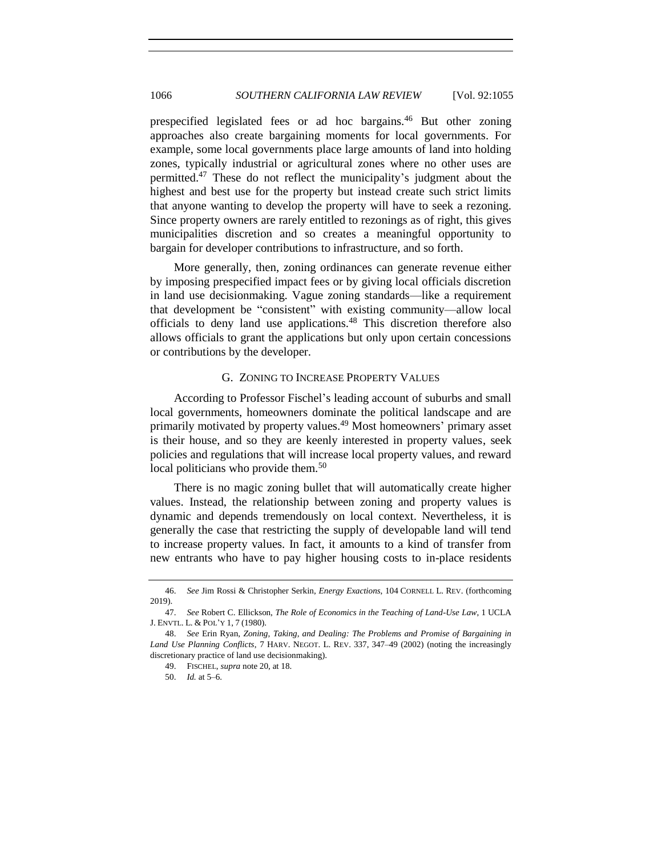prespecified legislated fees or ad hoc bargains.<sup>46</sup> But other zoning approaches also create bargaining moments for local governments. For example, some local governments place large amounts of land into holding zones, typically industrial or agricultural zones where no other uses are permitted.<sup>47</sup> These do not reflect the municipality's judgment about the highest and best use for the property but instead create such strict limits that anyone wanting to develop the property will have to seek a rezoning. Since property owners are rarely entitled to rezonings as of right, this gives municipalities discretion and so creates a meaningful opportunity to bargain for developer contributions to infrastructure, and so forth.

More generally, then, zoning ordinances can generate revenue either by imposing prespecified impact fees or by giving local officials discretion in land use decisionmaking. Vague zoning standards—like a requirement that development be "consistent" with existing community—allow local officials to deny land use applications.<sup>48</sup> This discretion therefore also allows officials to grant the applications but only upon certain concessions or contributions by the developer.

## G. ZONING TO INCREASE PROPERTY VALUES

According to Professor Fischel's leading account of suburbs and small local governments, homeowners dominate the political landscape and are primarily motivated by property values.<sup>49</sup> Most homeowners' primary asset is their house, and so they are keenly interested in property values, seek policies and regulations that will increase local property values, and reward local politicians who provide them. $50$ 

There is no magic zoning bullet that will automatically create higher values. Instead, the relationship between zoning and property values is dynamic and depends tremendously on local context. Nevertheless, it is generally the case that restricting the supply of developable land will tend to increase property values. In fact, it amounts to a kind of transfer from new entrants who have to pay higher housing costs to in-place residents

<span id="page-11-0"></span>

<sup>46.</sup> *See* Jim Rossi & Christopher Serkin, *Energy Exactions*, 104 CORNELL L. REV. (forthcoming 2019).

<sup>47.</sup> *See* Robert C. Ellickson, *The Role of Economics in the Teaching of Land-Use Law*, 1 UCLA J. ENVTL. L. & POL'Y 1, 7 (1980).

<sup>48.</sup> *See* Erin Ryan, *Zoning, Taking, and Dealing: The Problems and Promise of Bargaining in Land Use Planning Conflicts*, 7 HARV. NEGOT. L. REV. 337, 347–49 (2002) (noting the increasingly discretionary practice of land use decisionmaking).

<sup>49.</sup> FISCHEL, *supra* note [20,](#page-3-0) at 18.

<sup>50.</sup> *Id.* at 5–6.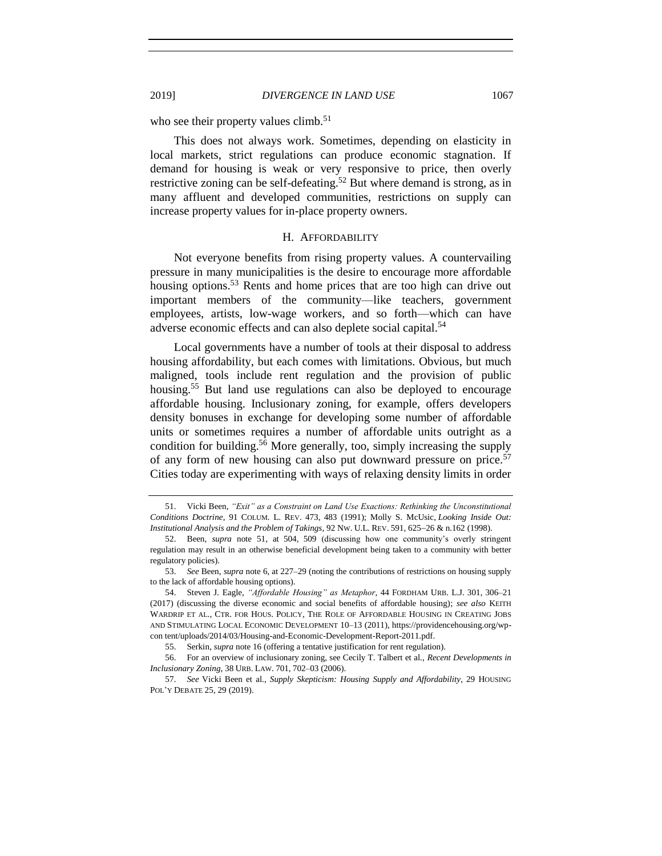who see their property values climb.<sup>51</sup>

This does not always work. Sometimes, depending on elasticity in local markets, strict regulations can produce economic stagnation. If demand for housing is weak or very responsive to price, then overly restrictive zoning can be self-defeating.<sup>52</sup> But where demand is strong, as in many affluent and developed communities, restrictions on supply can increase property values for in-place property owners.

#### <span id="page-12-0"></span>H. AFFORDABILITY

Not everyone benefits from rising property values. A countervailing pressure in many municipalities is the desire to encourage more affordable housing options.<sup>53</sup> Rents and home prices that are too high can drive out important members of the community—like teachers, government employees, artists, low-wage workers, and so forth—which can have adverse economic effects and can also deplete social capital.<sup>54</sup>

Local governments have a number of tools at their disposal to address housing affordability, but each comes with limitations. Obvious, but much maligned, tools include rent regulation and the provision of public housing.<sup>55</sup> But land use regulations can also be deployed to encourage affordable housing. Inclusionary zoning, for example, offers developers density bonuses in exchange for developing some number of affordable units or sometimes requires a number of affordable units outright as a condition for building.<sup>56</sup> More generally, too, simply increasing the supply of any form of new housing can also put downward pressure on price.<sup>57</sup> Cities today are experimenting with ways of relaxing density limits in order

<sup>51.</sup> Vicki Been, *"Exit" as a Constraint on Land Use Exactions: Rethinking the Unconstitutional Conditions Doctrine*, 91 COLUM. L. REV. 473, 483 (1991); Molly S. McUsic, *Looking Inside Out: Institutional Analysis and the Problem of Takings*, 92 NW. U.L. REV. 591, 625−26 & n.162 (1998).

<sup>52.</sup> Been, *supra* note [51,](#page-11-0) at 504, 509 (discussing how one community's overly stringent regulation may result in an otherwise beneficial development being taken to a community with better regulatory policies).

<sup>53.</sup> *See* Been, *supra* note [6,](#page-1-0) at 227–29 (noting the contributions of restrictions on housing supply to the lack of affordable housing options).

<sup>54.</sup> Steven J. Eagle, *"Affordable Housing" as Metaphor*, 44 FORDHAM URB. L.J. 301, 306–21 (2017) (discussing the diverse economic and social benefits of affordable housing); *see also* KEITH WARDRIP ET AL., CTR. FOR HOUS. POLICY, THE ROLE OF AFFORDABLE HOUSING IN CREATING JOBS AND STIMULATING LOCAL ECONOMIC DEVELOPMENT 10–13 (2011), https://providencehousing.org/wpcon tent/uploads/2014/03/Housing-and-Economic-Development-Report-2011.pdf.

<sup>55.</sup> Serkin, *supra* note [16](#page-2-0) (offering a tentative justification for rent regulation).

<sup>56.</sup> For an overview of inclusionary zoning, see Cecily T. Talbert et al., *Recent Developments in Inclusionary Zoning*, 38 URB. LAW. 701, 702–03 (2006).

<sup>57.</sup> *See* Vicki Been et al., *Supply Skepticism: Housing Supply and Affordability*, 29 HOUSING POL'Y DEBATE 25, 29 (2019).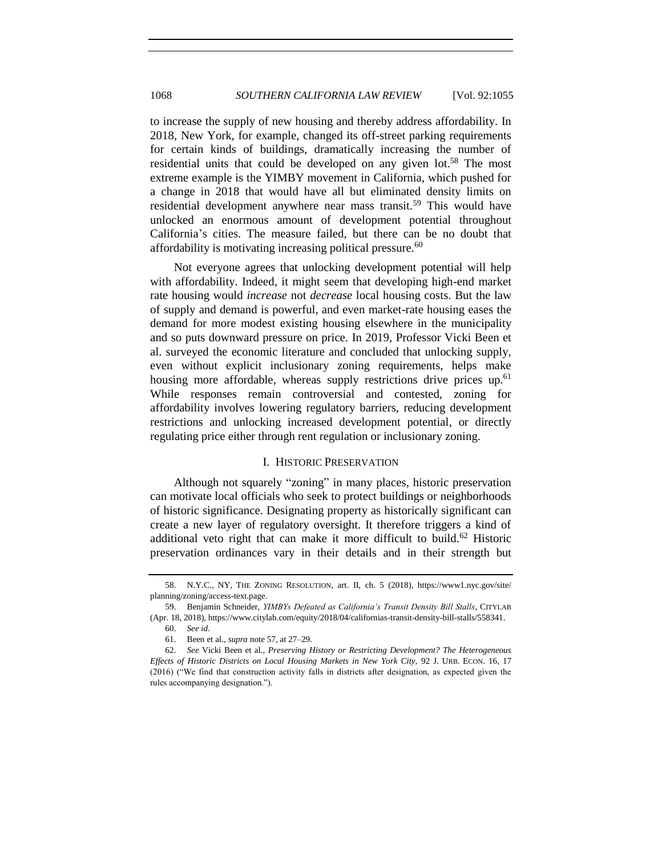to increase the supply of new housing and thereby address affordability. In 2018, New York, for example, changed its off-street parking requirements for certain kinds of buildings, dramatically increasing the number of residential units that could be developed on any given lot.<sup>58</sup> The most extreme example is the YIMBY movement in California, which pushed for a change in 2018 that would have all but eliminated density limits on residential development anywhere near mass transit.<sup>59</sup> This would have unlocked an enormous amount of development potential throughout California's cities. The measure failed, but there can be no doubt that affordability is motivating increasing political pressure.<sup>60</sup>

Not everyone agrees that unlocking development potential will help with affordability. Indeed, it might seem that developing high-end market rate housing would *increase* not *decrease* local housing costs. But the law of supply and demand is powerful, and even market-rate housing eases the demand for more modest existing housing elsewhere in the municipality and so puts downward pressure on price. In 2019, Professor Vicki Been et al. surveyed the economic literature and concluded that unlocking supply, even without explicit inclusionary zoning requirements, helps make housing more affordable, whereas supply restrictions drive prices up.<sup>61</sup> While responses remain controversial and contested, zoning for affordability involves lowering regulatory barriers, reducing development restrictions and unlocking increased development potential, or directly regulating price either through rent regulation or inclusionary zoning.

## I. HISTORIC PRESERVATION

Although not squarely "zoning" in many places, historic preservation can motivate local officials who seek to protect buildings or neighborhoods of historic significance. Designating property as historically significant can create a new layer of regulatory oversight. It therefore triggers a kind of additional veto right that can make it more difficult to build.<sup>62</sup> Historic preservation ordinances vary in their details and in their strength but

<sup>58.</sup> N.Y.C., NY, THE ZONING RESOLUTION, art. II, ch. 5 (2018), https://www1.nyc.gov/site/ planning/zoning/access-text.page.

<sup>59.</sup> Benjamin Schneider, *YIMBYs Defeated as California's Transit Density Bill Stalls*, CITYLAB (Apr. 18, 2018), https://www.citylab.com/equity/2018/04/californias-transit-density-bill-stalls/558341.

<sup>60.</sup> *See id.*

<sup>61.</sup> Been et al., *supra* note [57,](#page-12-0) at 27–29.

<sup>62.</sup> *See* Vicki Been et al., *Preserving History or Restricting Development? The Heterogeneous Effects of Historic Districts on Local Housing Markets in New York City,* 92 J. URB. ECON. 16, 17 (2016) ("We find that construction activity falls in districts after designation, as expected given the rules accompanying designation.").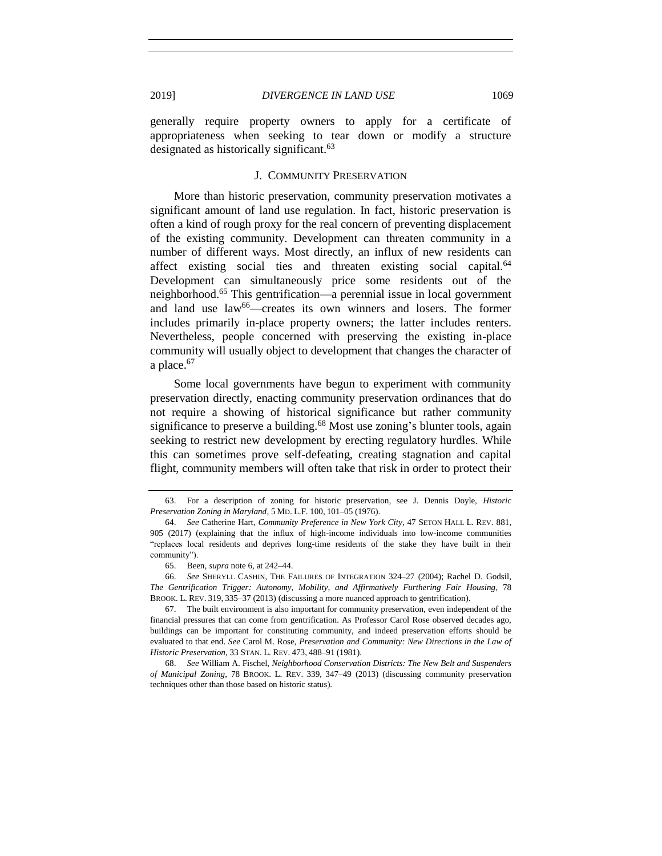generally require property owners to apply for a certificate of appropriateness when seeking to tear down or modify a structure designated as historically significant.<sup>63</sup>

## J. COMMUNITY PRESERVATION

More than historic preservation, community preservation motivates a significant amount of land use regulation. In fact, historic preservation is often a kind of rough proxy for the real concern of preventing displacement of the existing community. Development can threaten community in a number of different ways. Most directly, an influx of new residents can affect existing social ties and threaten existing social capital.<sup>64</sup> Development can simultaneously price some residents out of the neighborhood.<sup>65</sup> This gentrification—a perennial issue in local government and land use law<sup>66</sup>—creates its own winners and losers. The former includes primarily in-place property owners; the latter includes renters. Nevertheless, people concerned with preserving the existing in-place community will usually object to development that changes the character of a place.<sup>67</sup>

Some local governments have begun to experiment with community preservation directly, enacting community preservation ordinances that do not require a showing of historical significance but rather community significance to preserve a building.<sup>68</sup> Most use zoning's blunter tools, again seeking to restrict new development by erecting regulatory hurdles. While this can sometimes prove self-defeating, creating stagnation and capital flight, community members will often take that risk in order to protect their

<sup>63.</sup> For a description of zoning for historic preservation, see J. Dennis Doyle, *Historic Preservation Zoning in Maryland*, 5 MD. L.F. 100, 101–05 (1976).

<sup>64.</sup> *See* Catherine Hart, *Community Preference in New York City*, 47 SETON HALL L. REV. 881, 905 (2017) (explaining that the influx of high-income individuals into low-income communities "replaces local residents and deprives long-time residents of the stake they have built in their community").

<sup>65.</sup> Been, *supra* note [6,](#page-1-0) at 242–44.

<sup>66.</sup> *See* SHERYLL CASHIN, THE FAILURES OF INTEGRATION 324–27 (2004); Rachel D. Godsil, *The Gentrification Trigger: Autonomy, Mobility, and Affirmatively Furthering Fair Housing*, 78 BROOK. L. REV. 319, 335–37 (2013) (discussing a more nuanced approach to gentrification).

<sup>67.</sup> The built environment is also important for community preservation, even independent of the financial pressures that can come from gentrification. As Professor Carol Rose observed decades ago, buildings can be important for constituting community, and indeed preservation efforts should be evaluated to that end. *See* Carol M. Rose, *Preservation and Community: New Directions in the Law of Historic Preservation,* 33 STAN. L. REV. 473, 488–91 (1981).

<sup>68.</sup> *See* William A. Fischel, *Neighborhood Conservation Districts: The New Belt and Suspenders of Municipal Zoning*, 78 BROOK. L. REV. 339, 347–49 (2013) (discussing community preservation techniques other than those based on historic status).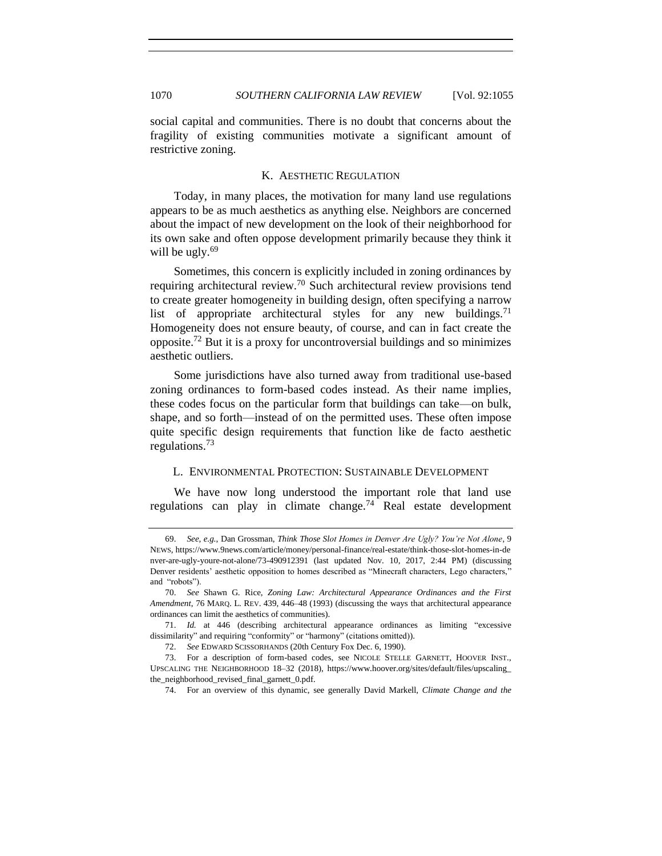social capital and communities. There is no doubt that concerns about the fragility of existing communities motivate a significant amount of restrictive zoning.

# K. AESTHETIC REGULATION

Today, in many places, the motivation for many land use regulations appears to be as much aesthetics as anything else. Neighbors are concerned about the impact of new development on the look of their neighborhood for its own sake and often oppose development primarily because they think it will be ugly. $69$ 

Sometimes, this concern is explicitly included in zoning ordinances by requiring architectural review.<sup>70</sup> Such architectural review provisions tend to create greater homogeneity in building design, often specifying a narrow list of appropriate architectural styles for any new buildings.<sup>71</sup> Homogeneity does not ensure beauty, of course, and can in fact create the opposite.<sup>72</sup> But it is a proxy for uncontroversial buildings and so minimizes aesthetic outliers.

Some jurisdictions have also turned away from traditional use-based zoning ordinances to form-based codes instead. As their name implies, these codes focus on the particular form that buildings can take—on bulk, shape, and so forth—instead of on the permitted uses. These often impose quite specific design requirements that function like de facto aesthetic regulations.<sup>73</sup>

#### L. ENVIRONMENTAL PROTECTION: SUSTAINABLE DEVELOPMENT

We have now long understood the important role that land use regulations can play in climate change.<sup>74</sup> Real estate development

<sup>69.</sup> *See, e.g.*, Dan Grossman, *Think Those Slot Homes in Denver Are Ugly? You're Not Alone*, 9 NEWS, https://www.9news.com/article/money/personal-finance/real-estate/think-those-slot-homes-in-de nver-are-ugly-youre-not-alone/73-490912391 (last updated Nov. 10, 2017, 2:44 PM) (discussing Denver residents' aesthetic opposition to homes described as "Minecraft characters, Lego characters," and "robots").

<sup>70.</sup> *See* Shawn G. Rice, *Zoning Law: Architectural Appearance Ordinances and the First Amendment*, 76 MARQ. L. REV. 439, 446–48 (1993) (discussing the ways that architectural appearance ordinances can limit the aesthetics of communities).

<sup>71.</sup> *Id.* at 446 (describing architectural appearance ordinances as limiting "excessive dissimilarity" and requiring "conformity" or "harmony" (citations omitted)).

<sup>72.</sup> *See* EDWARD SCISSORHANDS (20th Century Fox Dec. 6, 1990).

<sup>73.</sup> For a description of form-based codes, see NICOLE STELLE GARNETT, HOOVER INST., UPSCALING THE NEIGHBORHOOD 18–32 (2018), https://www.hoover.org/sites/default/files/upscaling\_ the\_neighborhood\_revised\_final\_garnett\_0.pdf.

<sup>74.</sup> For an overview of this dynamic, see generally David Markell, *Climate Change and the*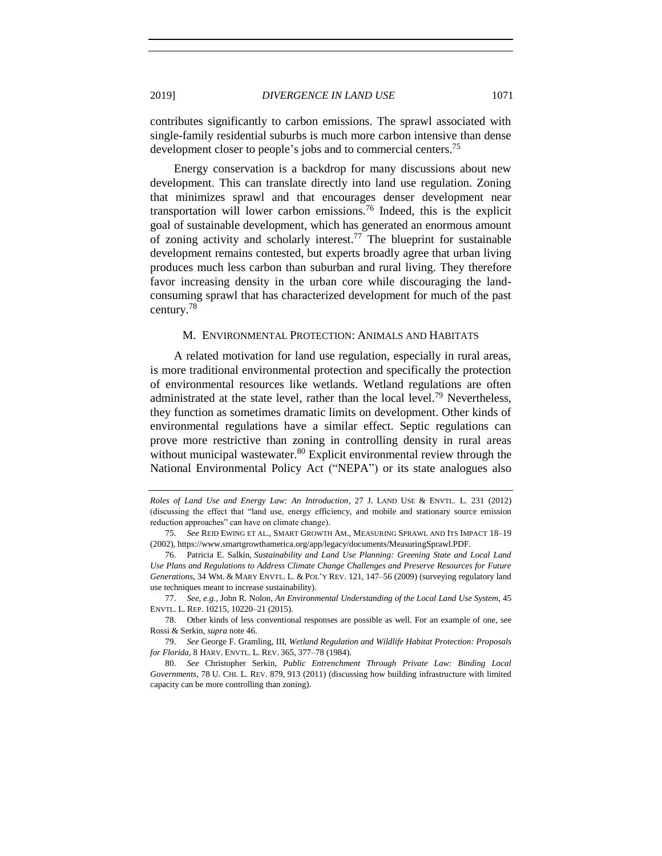contributes significantly to carbon emissions. The sprawl associated with single-family residential suburbs is much more carbon intensive than dense development closer to people's jobs and to commercial centers.<sup>75</sup>

Energy conservation is a backdrop for many discussions about new development. This can translate directly into land use regulation. Zoning that minimizes sprawl and that encourages denser development near transportation will lower carbon emissions.<sup>76</sup> Indeed, this is the explicit goal of sustainable development, which has generated an enormous amount of zoning activity and scholarly interest.<sup>77</sup> The blueprint for sustainable development remains contested, but experts broadly agree that urban living produces much less carbon than suburban and rural living. They therefore favor increasing density in the urban core while discouraging the landconsuming sprawl that has characterized development for much of the past century.<sup>78</sup>

#### M. ENVIRONMENTAL PROTECTION: ANIMALS AND HABITATS

A related motivation for land use regulation, especially in rural areas, is more traditional environmental protection and specifically the protection of environmental resources like wetlands. Wetland regulations are often administrated at the state level, rather than the local level.<sup>79</sup> Nevertheless, they function as sometimes dramatic limits on development. Other kinds of environmental regulations have a similar effect. Septic regulations can prove more restrictive than zoning in controlling density in rural areas without municipal wastewater.<sup>80</sup> Explicit environmental review through the National Environmental Policy Act ("NEPA") or its state analogues also

77. *See, e.g.*, John R. Nolon, *An Environmental Understanding of the Local Land Use System,* 45 ENVTL. L. REP. 10215, 10220–21 (2015).

78. Other kinds of less conventional responses are possible as well. For an example of one, see Rossi & Serkin, *supra* note [46.](#page-10-0)

79. *See* George F. Gramling, III, *Wetland Regulation and Wildlife Habitat Protection: Proposals for Florida*, 8 HARV. ENVTL. L. REV. 365, 377–78 (1984).

80. *See* Christopher Serkin, *Public Entrenchment Through Private Law: Binding Local Governments*, 78 U. CHI. L. REV. 879, 913 (2011) (discussing how building infrastructure with limited capacity can be more controlling than zoning).

*Roles of Land Use and Energy Law: An Introduction*, 27 J. LAND USE & ENVTL. L. 231 (2012) (discussing the effect that "land use, energy efficiency, and mobile and stationary source emission reduction approaches" can have on climate change).

<sup>75.</sup> *See* REID EWING ET AL., SMART GROWTH AM., MEASURING SPRAWL AND ITS IMPACT 18–19 (2002), https://www.smartgrowthamerica.org/app/legacy/documents/MeasuringSprawl.PDF.

<sup>76.</sup> Patricia E. Salkin, *Sustainability and Land Use Planning: Greening State and Local Land Use Plans and Regulations to Address Climate Change Challenges and Preserve Resources for Future Generations*, 34 WM. & MARY ENVTL. L. & POL'Y REV. 121, 147–56 (2009) (surveying regulatory land use techniques meant to increase sustainability).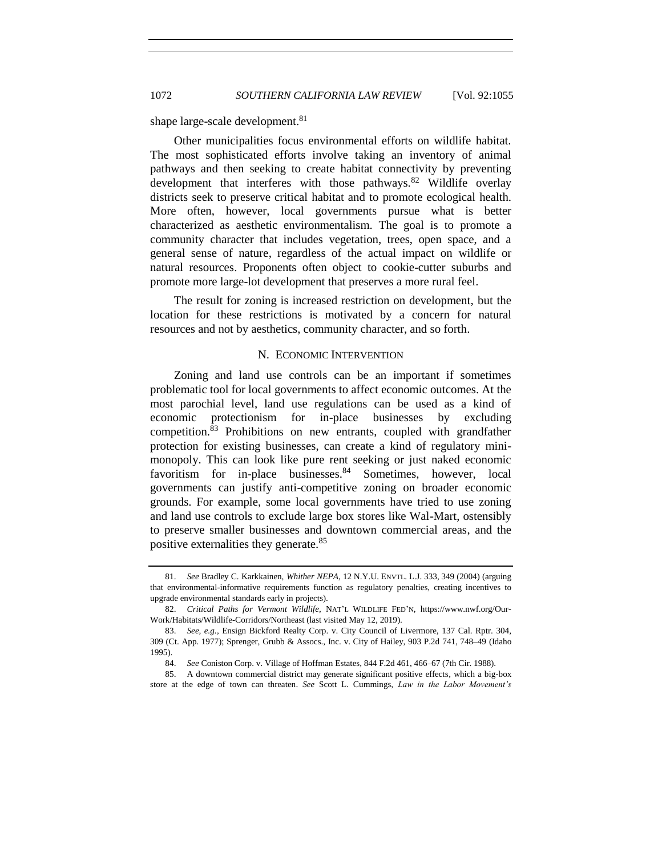shape large-scale development.<sup>81</sup>

Other municipalities focus environmental efforts on wildlife habitat. The most sophisticated efforts involve taking an inventory of animal pathways and then seeking to create habitat connectivity by preventing development that interferes with those pathways.<sup>82</sup> Wildlife overlay districts seek to preserve critical habitat and to promote ecological health. More often, however, local governments pursue what is better characterized as aesthetic environmentalism. The goal is to promote a community character that includes vegetation, trees, open space, and a general sense of nature, regardless of the actual impact on wildlife or natural resources. Proponents often object to cookie-cutter suburbs and promote more large-lot development that preserves a more rural feel.

The result for zoning is increased restriction on development, but the location for these restrictions is motivated by a concern for natural resources and not by aesthetics, community character, and so forth.

#### N. ECONOMIC INTERVENTION

Zoning and land use controls can be an important if sometimes problematic tool for local governments to affect economic outcomes. At the most parochial level, land use regulations can be used as a kind of economic protectionism for in-place businesses by excluding competition.<sup>83</sup> Prohibitions on new entrants, coupled with grandfather protection for existing businesses, can create a kind of regulatory minimonopoly. This can look like pure rent seeking or just naked economic favoritism for in-place businesses. $84$  Sometimes, however, local governments can justify anti-competitive zoning on broader economic grounds. For example, some local governments have tried to use zoning and land use controls to exclude large box stores like Wal-Mart, ostensibly to preserve smaller businesses and downtown commercial areas, and the positive externalities they generate.<sup>85</sup>

<sup>81.</sup> *See* Bradley C. Karkkainen, *Whither NEPA*, 12 N.Y.U. ENVTL. L.J. 333, 349 (2004) (arguing that environmental-informative requirements function as regulatory penalties, creating incentives to upgrade environmental standards early in projects).

<sup>82.</sup> *Critical Paths for Vermont Wildlife*, NAT'L WILDLIFE FED'N, https://www.nwf.org/Our-Work/Habitats/Wildlife-Corridors/Northeast (last visited May 12, 2019).

<sup>83.</sup> *See, e.g.*, Ensign Bickford Realty Corp. v. City Council of Livermore, 137 Cal. Rptr. 304, 309 (Ct. App. 1977); Sprenger, Grubb & Assocs., Inc. v. City of Hailey, 903 P.2d 741, 748–49 (Idaho 1995).

<sup>84.</sup> *See* Coniston Corp. v. Village of Hoffman Estates, 844 F.2d 461, 466–67 (7th Cir. 1988).

<sup>85.</sup> A downtown commercial district may generate significant positive effects, which a big-box store at the edge of town can threaten. *See* Scott L. Cummings, *Law in the Labor Movement's*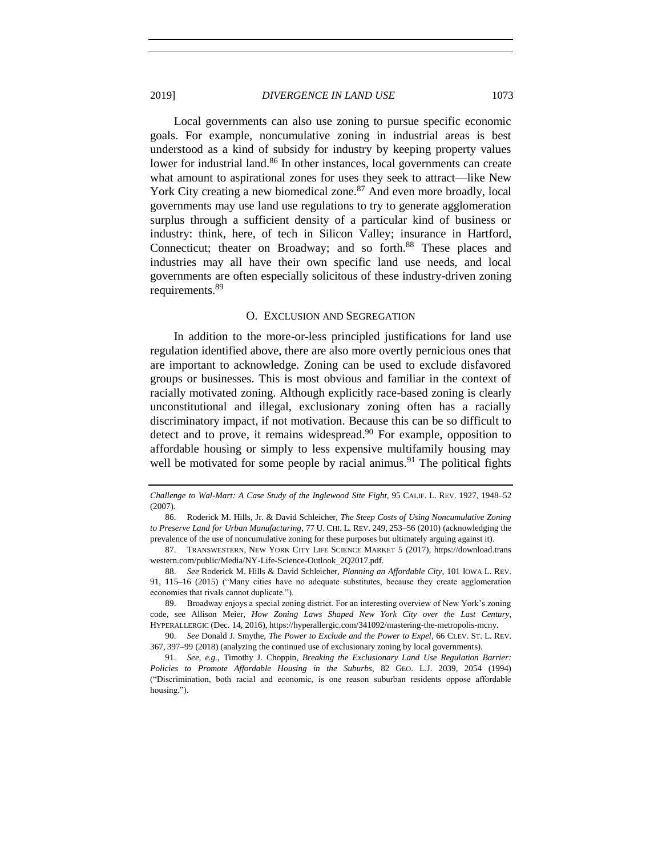Local governments can also use zoning to pursue specific economic goals. For example, noncumulative zoning in industrial areas is best understood as a kind of subsidy for industry by keeping property values lower for industrial land.<sup>86</sup> In other instances, local governments can create what amount to aspirational zones for uses they seek to attract—like New York City creating a new biomedical zone.<sup>87</sup> And even more broadly, local governments may use land use regulations to try to generate agglomeration surplus through a sufficient density of a particular kind of business or industry: think, here, of tech in Silicon Valley; insurance in Hartford, Connecticut; theater on Broadway; and so forth.<sup>88</sup> These places and industries may all have their own specific land use needs, and local governments are often especially solicitous of these industry-driven zoning requirements.<sup>89</sup>

#### O. EXCLUSION AND SEGREGATION

In addition to the more-or-less principled justifications for land use regulation identified above, there are also more overtly pernicious ones that are important to acknowledge. Zoning can be used to exclude disfavored groups or businesses. This is most obvious and familiar in the context of racially motivated zoning. Although explicitly race-based zoning is clearly unconstitutional and illegal, exclusionary zoning often has a racially discriminatory impact, if not motivation. Because this can be so difficult to detect and to prove, it remains widespread. $90$  For example, opposition to affordable housing or simply to less expensive multifamily housing may well be motivated for some people by racial animus.<sup>91</sup> The political fights

89. Broadway enjoys a special zoning district. For an interesting overview of New York's zoning code, see Allison Meier, *How Zoning Laws Shaped New York City over the Last Century*, HYPERALLERGIC (Dec. 14, 2016), https://hyperallergic.com/341092/mastering-the-metropolis-mcny.

90. *See* Donald J. Smythe, *The Power to Exclude and the Power to Expel*, 66 CLEV. ST. L. REV. 367, 397–99 (2018) (analyzing the continued use of exclusionary zoning by local governments).

*Challenge to Wal-Mart: A Case Study of the Inglewood Site Fight*, 95 CALIF. L. REV. 1927, 1948–52 (2007).

<sup>86.</sup> Roderick M. Hills, Jr. & David Schleicher, *The Steep Costs of Using Noncumulative Zoning to Preserve Land for Urban Manufacturing*, 77 U. CHI. L. REV. 249, 253–56 (2010) (acknowledging the prevalence of the use of noncumulative zoning for these purposes but ultimately arguing against it).

<sup>87.</sup> TRANSWESTERN, NEW YORK CITY LIFE SCIENCE MARKET 5 (2017), https://download.trans western.com/public/Media/NY-Life-Science-Outlook\_2Q2017.pdf.

<sup>88.</sup> *See* Roderick M. Hills & David Schleicher, *Planning an Affordable City*, 101 IOWA L. REV. 91, 115–16 (2015) ("Many cities have no adequate substitutes, because they create agglomeration economies that rivals cannot duplicate.").

<sup>91.</sup> *See, e.g.*, Timothy J. Choppin, *Breaking the Exclusionary Land Use Regulation Barrier: Policies to Promote Affordable Housing in the Suburbs*, 82 GEO. L.J. 2039, 2054 (1994) ("Discrimination, both racial and economic, is one reason suburban residents oppose affordable housing.").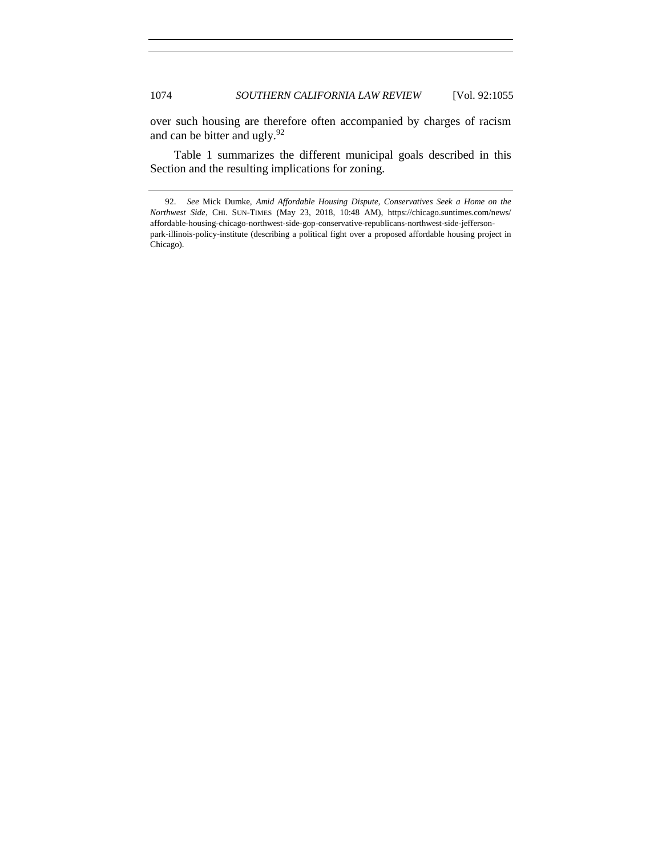over such housing are therefore often accompanied by charges of racism and can be bitter and ugly.<sup>92</sup>

Table 1 summarizes the different municipal goals described in this Section and the resulting implications for zoning.

<sup>92.</sup> *See* Mick Dumke, *Amid Affordable Housing Dispute, Conservatives Seek a Home on the Northwest Side*, CHI. SUN-TIMES (May 23, 2018, 10:48 AM), https://chicago.suntimes.com/news/ affordable-housing-chicago-northwest-side-gop-conservative-republicans-northwest-side-jeffersonpark-illinois-policy-institute (describing a political fight over a proposed affordable housing project in Chicago).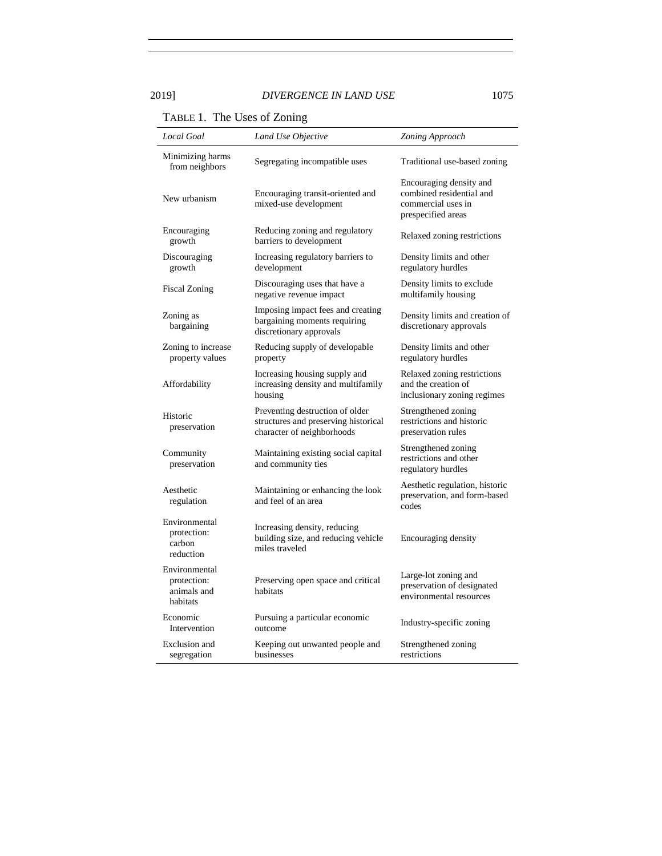TABLE 1. The Uses of Zoning

| <b>Local Goal</b>                                       | Land Use Objective                                                                                    | Zoning Approach                                                                                 |
|---------------------------------------------------------|-------------------------------------------------------------------------------------------------------|-------------------------------------------------------------------------------------------------|
| Minimizing harms<br>from neighbors                      | Segregating incompatible uses                                                                         | Traditional use-based zoning                                                                    |
| New urbanism                                            | Encouraging transit-oriented and<br>mixed-use development                                             | Encouraging density and<br>combined residential and<br>commercial uses in<br>prespecified areas |
| Encouraging<br>growth                                   | Reducing zoning and regulatory<br>barriers to development                                             | Relaxed zoning restrictions                                                                     |
| Discouraging<br>growth                                  | Increasing regulatory barriers to<br>development                                                      | Density limits and other<br>regulatory hurdles                                                  |
| <b>Fiscal Zoning</b>                                    | Discouraging uses that have a<br>negative revenue impact                                              | Density limits to exclude<br>multifamily housing                                                |
| Zoning as<br>bargaining                                 | Imposing impact fees and creating<br>bargaining moments requiring<br>discretionary approvals          | Density limits and creation of<br>discretionary approvals                                       |
| Zoning to increase<br>property values                   | Reducing supply of developable<br>property                                                            | Density limits and other<br>regulatory hurdles                                                  |
| Affordability                                           | Increasing housing supply and<br>increasing density and multifamily<br>housing                        | Relaxed zoning restrictions<br>and the creation of<br>inclusionary zoning regimes               |
| Historic<br>preservation                                | Preventing destruction of older<br>structures and preserving historical<br>character of neighborhoods | Strengthened zoning<br>restrictions and historic<br>preservation rules                          |
| Community<br>preservation                               | Maintaining existing social capital<br>and community ties                                             | Strengthened zoning<br>restrictions and other<br>regulatory hurdles                             |
| Aesthetic<br>regulation                                 | Maintaining or enhancing the look<br>and feel of an area                                              | Aesthetic regulation, historic<br>preservation, and form-based<br>codes                         |
| Environmental<br>protection:<br>carbon<br>reduction     | Increasing density, reducing<br>building size, and reducing vehicle<br>miles traveled                 | Encouraging density                                                                             |
| Environmental<br>protection:<br>animals and<br>habitats | Preserving open space and critical<br>habitats                                                        | Large-lot zoning and<br>preservation of designated<br>environmental resources                   |
| Economic<br>Intervention                                | Pursuing a particular economic<br>outcome                                                             | Industry-specific zoning                                                                        |
| <b>Exclusion</b> and<br>segregation                     | Keeping out unwanted people and<br>businesses                                                         | Strengthened zoning<br>restrictions                                                             |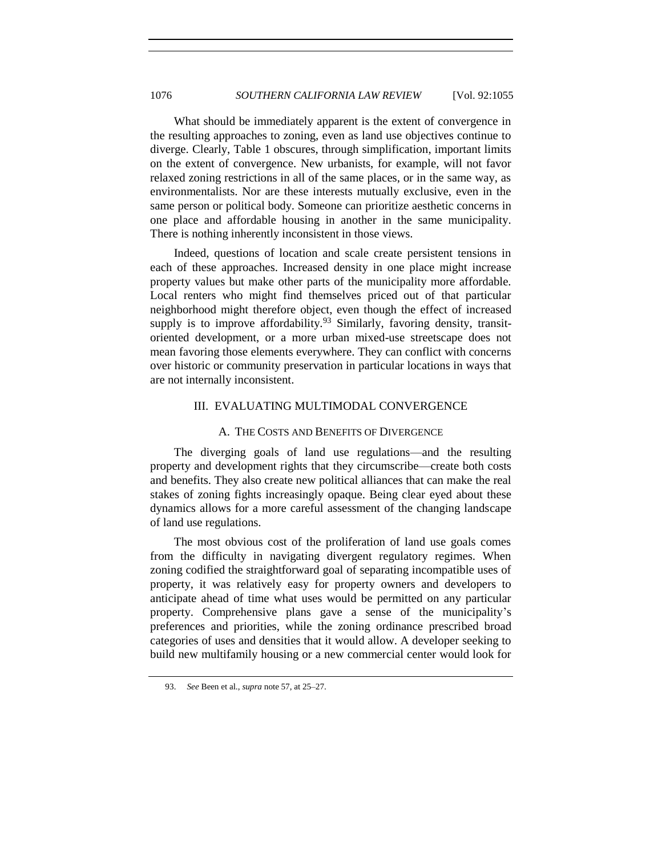What should be immediately apparent is the extent of convergence in the resulting approaches to zoning, even as land use objectives continue to diverge. Clearly, Table 1 obscures, through simplification, important limits on the extent of convergence. New urbanists, for example, will not favor relaxed zoning restrictions in all of the same places, or in the same way, as environmentalists. Nor are these interests mutually exclusive, even in the same person or political body. Someone can prioritize aesthetic concerns in one place and affordable housing in another in the same municipality. There is nothing inherently inconsistent in those views.

Indeed, questions of location and scale create persistent tensions in each of these approaches. Increased density in one place might increase property values but make other parts of the municipality more affordable. Local renters who might find themselves priced out of that particular neighborhood might therefore object, even though the effect of increased supply is to improve affordability.<sup>93</sup> Similarly, favoring density, transitoriented development, or a more urban mixed-use streetscape does not mean favoring those elements everywhere. They can conflict with concerns over historic or community preservation in particular locations in ways that are not internally inconsistent.

## III. EVALUATING MULTIMODAL CONVERGENCE

## A. THE COSTS AND BENEFITS OF DIVERGENCE

The diverging goals of land use regulations—and the resulting property and development rights that they circumscribe—create both costs and benefits. They also create new political alliances that can make the real stakes of zoning fights increasingly opaque. Being clear eyed about these dynamics allows for a more careful assessment of the changing landscape of land use regulations.

The most obvious cost of the proliferation of land use goals comes from the difficulty in navigating divergent regulatory regimes. When zoning codified the straightforward goal of separating incompatible uses of property, it was relatively easy for property owners and developers to anticipate ahead of time what uses would be permitted on any particular property. Comprehensive plans gave a sense of the municipality's preferences and priorities, while the zoning ordinance prescribed broad categories of uses and densities that it would allow. A developer seeking to build new multifamily housing or a new commercial center would look for

<sup>93.</sup> *See* Been et al., *supra* note [57,](#page-12-0) at 25–27.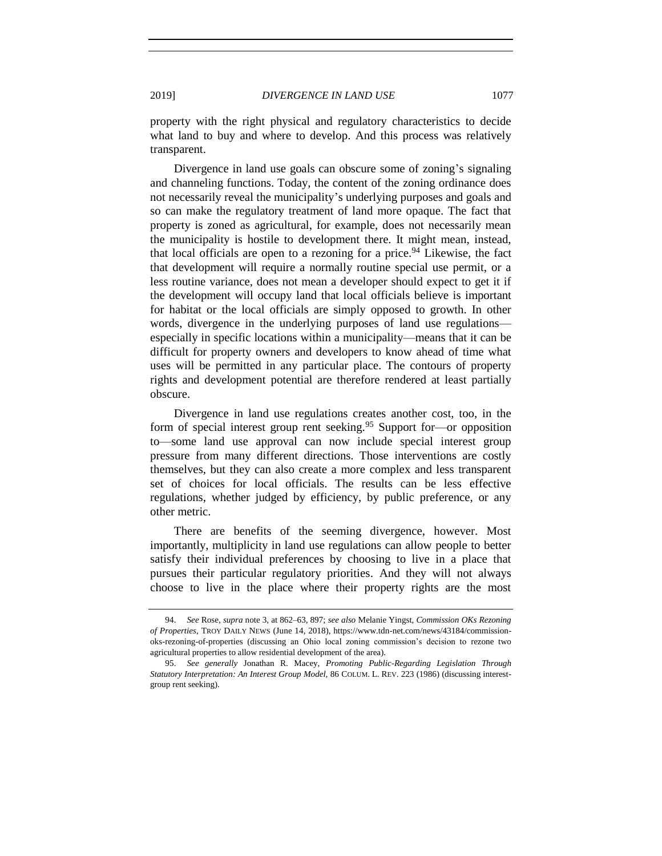property with the right physical and regulatory characteristics to decide what land to buy and where to develop. And this process was relatively transparent.

Divergence in land use goals can obscure some of zoning's signaling and channeling functions. Today, the content of the zoning ordinance does not necessarily reveal the municipality's underlying purposes and goals and so can make the regulatory treatment of land more opaque. The fact that property is zoned as agricultural, for example, does not necessarily mean the municipality is hostile to development there. It might mean, instead, that local officials are open to a rezoning for a price.<sup>94</sup> Likewise, the fact that development will require a normally routine special use permit, or a less routine variance, does not mean a developer should expect to get it if the development will occupy land that local officials believe is important for habitat or the local officials are simply opposed to growth. In other words, divergence in the underlying purposes of land use regulations especially in specific locations within a municipality—means that it can be difficult for property owners and developers to know ahead of time what uses will be permitted in any particular place. The contours of property rights and development potential are therefore rendered at least partially obscure.

Divergence in land use regulations creates another cost, too, in the form of special interest group rent seeking.<sup>95</sup> Support for—or opposition to—some land use approval can now include special interest group pressure from many different directions. Those interventions are costly themselves, but they can also create a more complex and less transparent set of choices for local officials. The results can be less effective regulations, whether judged by efficiency, by public preference, or any other metric.

There are benefits of the seeming divergence, however. Most importantly, multiplicity in land use regulations can allow people to better satisfy their individual preferences by choosing to live in a place that pursues their particular regulatory priorities. And they will not always choose to live in the place where their property rights are the most

<span id="page-22-0"></span>

<sup>94.</sup> *See* Rose, *supra* not[e 3,](#page-0-0) at 862–63, 897; *see also* Melanie Yingst, *Commission OKs Rezoning of Properties*, TROY DAILY NEWS (June 14, 2018), https://www.tdn-net.com/news/43184/commissionoks-rezoning-of-properties (discussing an Ohio local zoning commission's decision to rezone two agricultural properties to allow residential development of the area).

<sup>95.</sup> *See generally* Jonathan R. Macey, *Promoting Public-Regarding Legislation Through Statutory Interpretation: An Interest Group Model,* 86 COLUM. L. REV. 223 (1986) (discussing interestgroup rent seeking).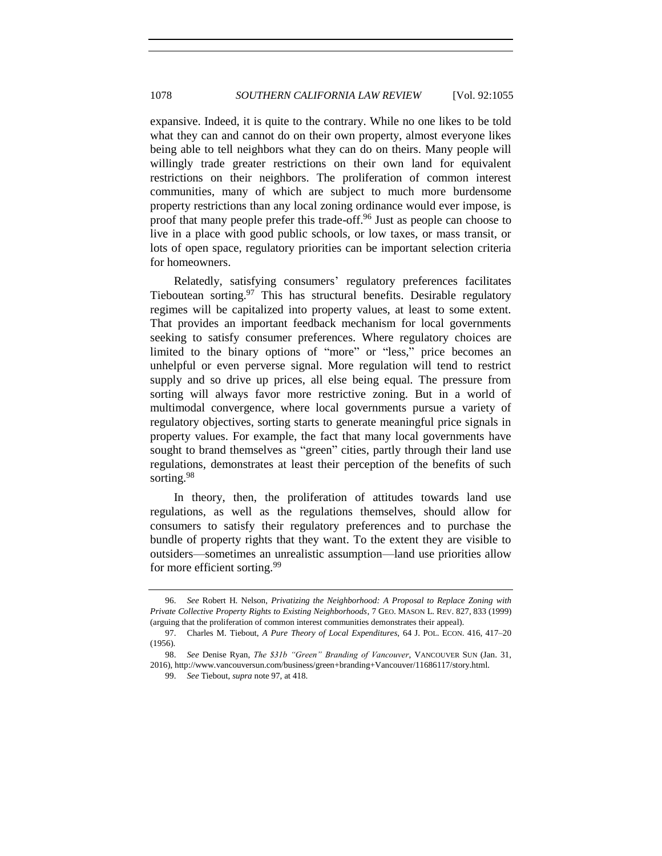expansive. Indeed, it is quite to the contrary. While no one likes to be told what they can and cannot do on their own property, almost everyone likes being able to tell neighbors what they can do on theirs. Many people will willingly trade greater restrictions on their own land for equivalent restrictions on their neighbors. The proliferation of common interest communities, many of which are subject to much more burdensome property restrictions than any local zoning ordinance would ever impose, is proof that many people prefer this trade-off.<sup>96</sup> Just as people can choose to live in a place with good public schools, or low taxes, or mass transit, or lots of open space, regulatory priorities can be important selection criteria for homeowners.

Relatedly, satisfying consumers' regulatory preferences facilitates Tieboutean sorting. <sup>97</sup> This has structural benefits. Desirable regulatory regimes will be capitalized into property values, at least to some extent. That provides an important feedback mechanism for local governments seeking to satisfy consumer preferences. Where regulatory choices are limited to the binary options of "more" or "less," price becomes an unhelpful or even perverse signal. More regulation will tend to restrict supply and so drive up prices, all else being equal. The pressure from sorting will always favor more restrictive zoning. But in a world of multimodal convergence, where local governments pursue a variety of regulatory objectives, sorting starts to generate meaningful price signals in property values. For example, the fact that many local governments have sought to brand themselves as "green" cities, partly through their land use regulations, demonstrates at least their perception of the benefits of such sorting.<sup>98</sup>

In theory, then, the proliferation of attitudes towards land use regulations, as well as the regulations themselves, should allow for consumers to satisfy their regulatory preferences and to purchase the bundle of property rights that they want. To the extent they are visible to outsiders—sometimes an unrealistic assumption—land use priorities allow for more efficient sorting.<sup>99</sup>

<sup>96.</sup> *See* Robert H. Nelson, *Privatizing the Neighborhood: A Proposal to Replace Zoning with Private Collective Property Rights to Existing Neighborhoods*, 7 GEO. MASON L. REV. 827, 833 (1999) (arguing that the proliferation of common interest communities demonstrates their appeal).

<sup>97.</sup> Charles M. Tiebout, *A Pure Theory of Local Expenditures*, 64 J. POL. ECON. 416, 417–20 (1956).

<sup>98.</sup> *See* Denise Ryan, *The \$31b "Green" Branding of Vancouver*, VANCOUVER SUN (Jan. 31, 2016), http://www.vancouversun.com/business/green+branding+Vancouver/11686117/story.html.

<sup>99.</sup> *See* Tiebout, *supra* note [97,](#page-22-0) at 418.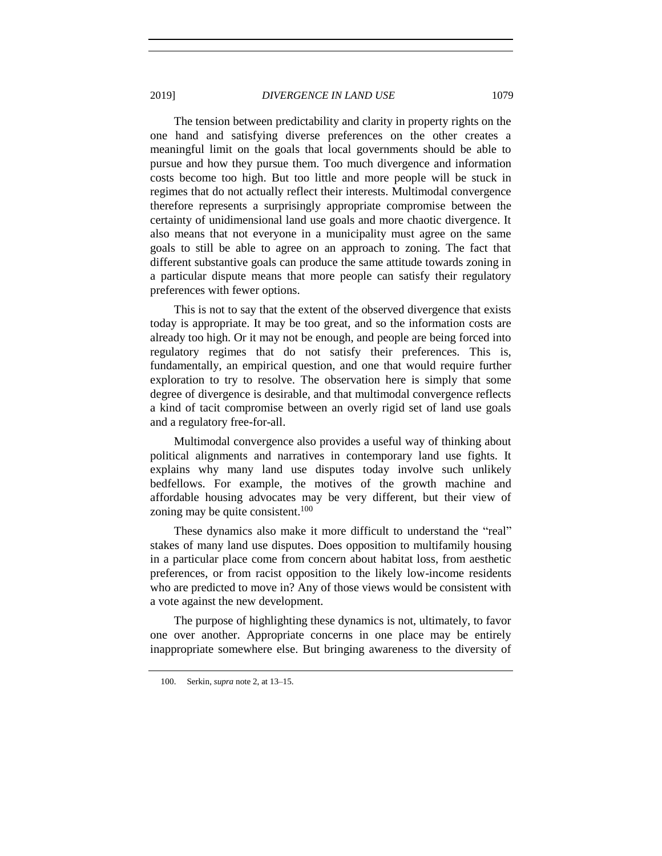The tension between predictability and clarity in property rights on the one hand and satisfying diverse preferences on the other creates a meaningful limit on the goals that local governments should be able to pursue and how they pursue them. Too much divergence and information costs become too high. But too little and more people will be stuck in regimes that do not actually reflect their interests. Multimodal convergence therefore represents a surprisingly appropriate compromise between the certainty of unidimensional land use goals and more chaotic divergence. It also means that not everyone in a municipality must agree on the same goals to still be able to agree on an approach to zoning. The fact that different substantive goals can produce the same attitude towards zoning in a particular dispute means that more people can satisfy their regulatory preferences with fewer options.

This is not to say that the extent of the observed divergence that exists today is appropriate. It may be too great, and so the information costs are already too high. Or it may not be enough, and people are being forced into regulatory regimes that do not satisfy their preferences. This is, fundamentally, an empirical question, and one that would require further exploration to try to resolve. The observation here is simply that some degree of divergence is desirable, and that multimodal convergence reflects a kind of tacit compromise between an overly rigid set of land use goals and a regulatory free-for-all.

Multimodal convergence also provides a useful way of thinking about political alignments and narratives in contemporary land use fights. It explains why many land use disputes today involve such unlikely bedfellows. For example, the motives of the growth machine and affordable housing advocates may be very different, but their view of zoning may be quite consistent. $100$ 

These dynamics also make it more difficult to understand the "real" stakes of many land use disputes. Does opposition to multifamily housing in a particular place come from concern about habitat loss, from aesthetic preferences, or from racist opposition to the likely low-income residents who are predicted to move in? Any of those views would be consistent with a vote against the new development.

The purpose of highlighting these dynamics is not, ultimately, to favor one over another. Appropriate concerns in one place may be entirely inappropriate somewhere else. But bringing awareness to the diversity of

<sup>100.</sup> Serkin, *supra* note [2,](#page-0-0) at 13–15.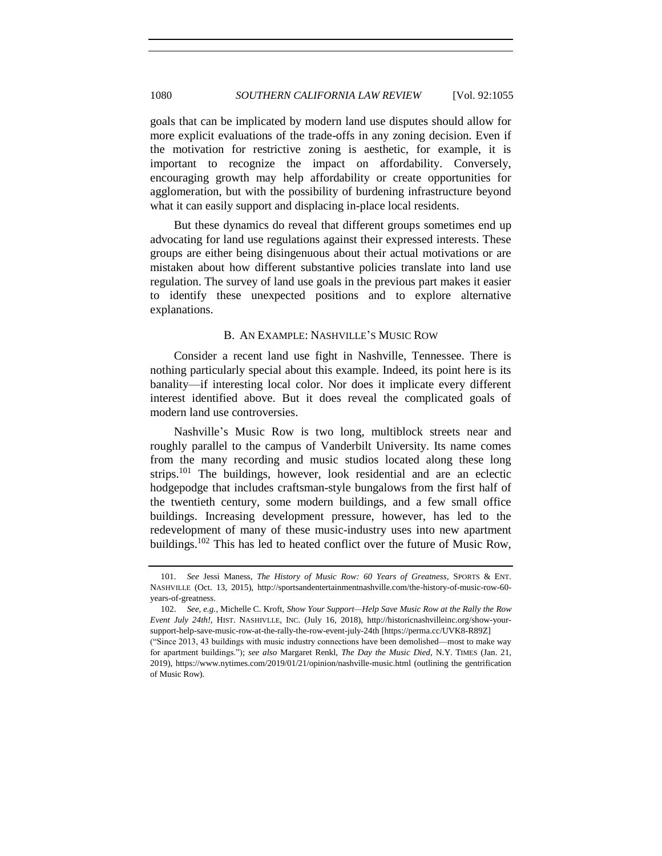goals that can be implicated by modern land use disputes should allow for more explicit evaluations of the trade-offs in any zoning decision. Even if the motivation for restrictive zoning is aesthetic, for example, it is important to recognize the impact on affordability. Conversely, encouraging growth may help affordability or create opportunities for agglomeration, but with the possibility of burdening infrastructure beyond what it can easily support and displacing in-place local residents.

But these dynamics do reveal that different groups sometimes end up advocating for land use regulations against their expressed interests. These groups are either being disingenuous about their actual motivations or are mistaken about how different substantive policies translate into land use regulation. The survey of land use goals in the previous part makes it easier to identify these unexpected positions and to explore alternative explanations.

## B. AN EXAMPLE: NASHVILLE'S MUSIC ROW

Consider a recent land use fight in Nashville, Tennessee. There is nothing particularly special about this example. Indeed, its point here is its banality—if interesting local color. Nor does it implicate every different interest identified above. But it does reveal the complicated goals of modern land use controversies.

Nashville's Music Row is two long, multiblock streets near and roughly parallel to the campus of Vanderbilt University. Its name comes from the many recording and music studios located along these long strips.<sup>101</sup> The buildings, however, look residential and are an eclectic hodgepodge that includes craftsman-style bungalows from the first half of the twentieth century, some modern buildings, and a few small office buildings. Increasing development pressure, however, has led to the redevelopment of many of these music-industry uses into new apartment buildings.<sup>102</sup> This has led to heated conflict over the future of Music Row,

<sup>101.</sup> *See* Jessi Maness, *The History of Music Row: 60 Years of Greatness*, SPORTS & ENT. NASHVILLE (Oct. 13, 2015), http://sportsandentertainmentnashville.com/the-history-of-music-row-60 years-of-greatness.

<sup>102.</sup> *See, e.g.*, Michelle C. Kroft, *Show Your Support—Help Save Music Row at the Rally the Row Event July 24th!,* HIST. NASHIVLLE, INC. (July 16, 2018), http://historicnashvilleinc.org/show-yoursupport-help-save-music-row-at-the-rally-the-row-event-july-24th [https://perma.cc/UVK8-R89Z]

<sup>(&</sup>quot;Since 2013, 43 buildings with music industry connections have been demolished—most to make way for apartment buildings."); *see also* Margaret Renkl, *The Day the Music Died,* N.Y. TIMES (Jan. 21, 2019), https://www.nytimes.com/2019/01/21/opinion/nashville-music.html (outlining the gentrification of Music Row).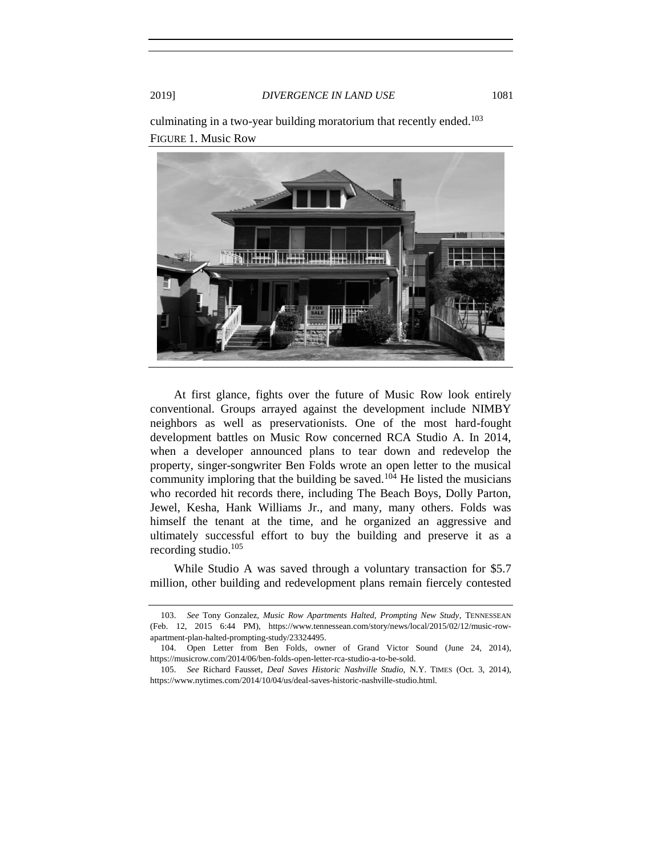

culminating in a two-year building moratorium that recently ended.<sup>103</sup> FIGURE 1. Music Row

At first glance, fights over the future of Music Row look entirely conventional. Groups arrayed against the development include NIMBY neighbors as well as preservationists. One of the most hard-fought development battles on Music Row concerned RCA Studio A. In 2014, when a developer announced plans to tear down and redevelop the property, singer-songwriter Ben Folds wrote an open letter to the musical community imploring that the building be saved.<sup>104</sup> He listed the musicians who recorded hit records there, including The Beach Boys, Dolly Parton, Jewel, Kesha, Hank Williams Jr., and many, many others. Folds was himself the tenant at the time, and he organized an aggressive and ultimately successful effort to buy the building and preserve it as a recording studio. $105$ 

While Studio A was saved through a voluntary transaction for \$5.7 million, other building and redevelopment plans remain fiercely contested

<span id="page-26-0"></span>

<sup>103.</sup> *See* Tony Gonzalez, *Music Row Apartments Halted, Prompting New Study*, TENNESSEAN (Feb. 12, 2015 6:44 PM), https://www.tennessean.com/story/news/local/2015/02/12/music-rowapartment-plan-halted-prompting-study/23324495.

<sup>104.</sup> Open Letter from Ben Folds, owner of Grand Victor Sound (June 24, 2014), https://musicrow.com/2014/06/ben-folds-open-letter-rca-studio-a-to-be-sold.

<sup>105.</sup> *See* Richard Fausset, *Deal Saves Historic Nashville Studio,* N.Y. TIMES (Oct. 3, 2014), https://www.nytimes.com/2014/10/04/us/deal-saves-historic-nashville-studio.html.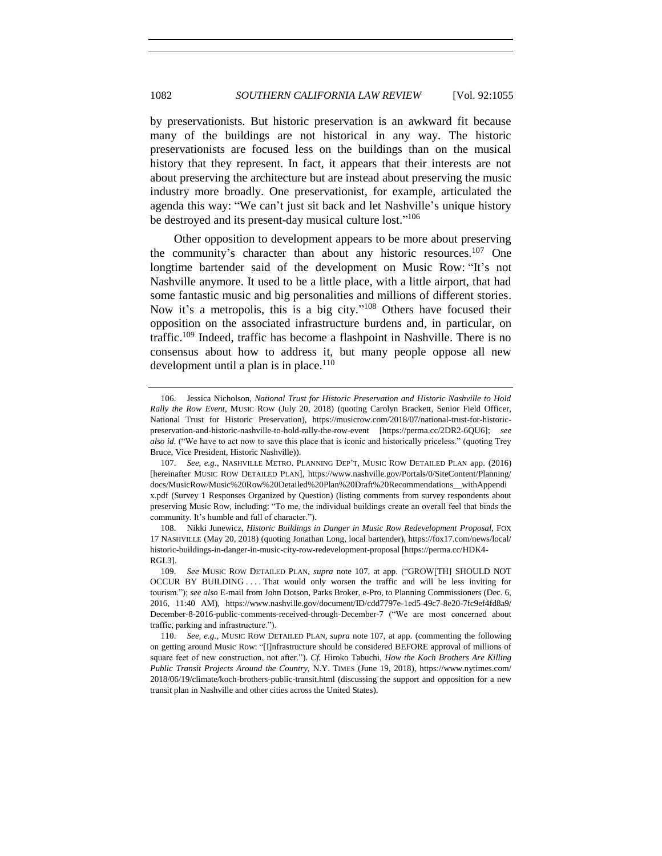<span id="page-27-0"></span>by preservationists. But historic preservation is an awkward fit because many of the buildings are not historical in any way. The historic preservationists are focused less on the buildings than on the musical history that they represent. In fact, it appears that their interests are not about preserving the architecture but are instead about preserving the music industry more broadly. One preservationist, for example, articulated the agenda this way: "We can't just sit back and let Nashville's unique history be destroyed and its present-day musical culture lost."<sup>106</sup>

Other opposition to development appears to be more about preserving the community's character than about any historic resources.<sup>107</sup> One longtime bartender said of the development on Music Row: "It's not Nashville anymore. It used to be a little place, with a little airport, that had some fantastic music and big personalities and millions of different stories. Now it's a metropolis, this is a big city."<sup>108</sup> Others have focused their opposition on the associated infrastructure burdens and, in particular, on traffic.<sup>109</sup> Indeed, traffic has become a flashpoint in Nashville. There is no consensus about how to address it, but many people oppose all new development until a plan is in place.<sup>110</sup>

<sup>106.</sup> Jessica Nicholson, *National Trust for Historic Preservation and Historic Nashville to Hold Rally the Row Event,* MUSIC ROW (July 20, 2018) (quoting Carolyn Brackett, Senior Field Officer, National Trust for Historic Preservation), https://musicrow.com/2018/07/national-trust-for-historicpreservation-and-historic-nashville-to-hold-rally-the-row-event [https://perma.cc/2DR2-6QU6]; *see also id.* ("We have to act now to save this place that is iconic and historically priceless." (quoting Trey Bruce, Vice President, Historic Nashville)).

<sup>107.</sup> *See, e.g.*, NASHVILLE METRO. PLANNING DEP'T, MUSIC ROW DETAILED PLAN app. (2016) [hereinafter MUSIC ROW DETAILED PLAN], https://www.nashville.gov/Portals/0/SiteContent/Planning/ docs/MusicRow/Music%20Row%20Detailed%20Plan%20Draft%20Recommendations\_\_withAppendi x.pdf (Survey 1 Responses Organized by Question) (listing comments from survey respondents about preserving Music Row, including: "To me, the individual buildings create an overall feel that binds the community. It's humble and full of character.").

<sup>108.</sup> Nikki Junewicz, *Historic Buildings in Danger in Music Row Redevelopment Proposal*, FOX 17 NASHVILLE (May 20, 2018) (quoting Jonathan Long, local bartender), https://fox17.com/news/local/ historic-buildings-in-danger-in-music-city-row-redevelopment-proposal [https://perma.cc/HDK4- RGL3].

<sup>109.</sup> *See* MUSIC ROW DETAILED PLAN, *supra* note [107,](#page-26-0) at app. ("GROW[TH] SHOULD NOT OCCUR BY BUILDING . . . . That would only worsen the traffic and will be less inviting for tourism."); *see also* E-mail from John Dotson, Parks Broker, e-Pro, to Planning Commissioners (Dec. 6, 2016, 11:40 AM), https://www.nashville.gov/document/ID/cdd7797e-1ed5-49c7-8e20-7fc9ef4fd8a9/ December-8-2016-public-comments-received-through-December-7 ("We are most concerned about traffic, parking and infrastructure.").

<sup>110.</sup> *See, e.g.*, MUSIC ROW DETAILED PLAN, *supra* note [107,](#page-26-0) at app. (commenting the following on getting around Music Row: "[I]nfrastructure should be considered BEFORE approval of millions of square feet of new construction, not after."). *Cf.* Hiroko Tabuchi, *How the Koch Brothers Are Killing Public Transit Projects Around the Country,* N.Y. TIMES (June 19, 2018), https://www.nytimes.com/ 2018/06/19/climate/koch-brothers-public-transit.html (discussing the support and opposition for a new transit plan in Nashville and other cities across the United States).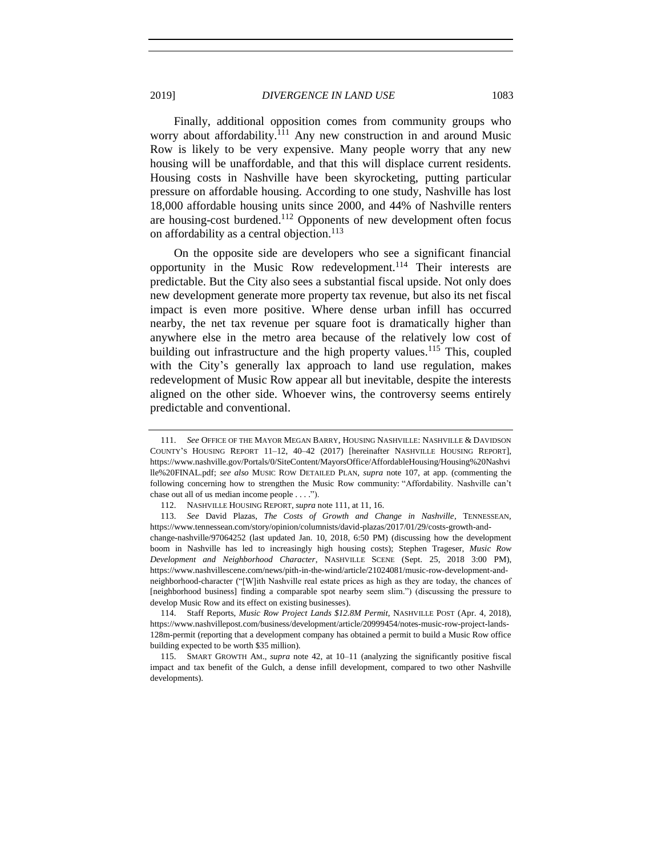Finally, additional opposition comes from community groups who worry about affordability.<sup>111</sup> Any new construction in and around Music Row is likely to be very expensive. Many people worry that any new housing will be unaffordable, and that this will displace current residents. Housing costs in Nashville have been skyrocketing, putting particular pressure on affordable housing. According to one study, Nashville has lost 18,000 affordable housing units since 2000, and 44% of Nashville renters are housing-cost burdened.<sup>112</sup> Opponents of new development often focus on affordability as a central objection.<sup>113</sup>

On the opposite side are developers who see a significant financial opportunity in the Music Row redevelopment.<sup>114</sup> Their interests are predictable. But the City also sees a substantial fiscal upside. Not only does new development generate more property tax revenue, but also its net fiscal impact is even more positive. Where dense urban infill has occurred nearby, the net tax revenue per square foot is dramatically higher than anywhere else in the metro area because of the relatively low cost of building out infrastructure and the high property values.<sup>115</sup> This, coupled with the City's generally lax approach to land use regulation, makes redevelopment of Music Row appear all but inevitable, despite the interests aligned on the other side. Whoever wins, the controversy seems entirely predictable and conventional.

114. Staff Reports, *Music Row Project Lands \$12.8M Permit*, NASHVILLE POST (Apr. 4, 2018), https://www.nashvillepost.com/business/development/article/20999454/notes-music-row-project-lands-128m-permit (reporting that a development company has obtained a permit to build a Music Row office building expected to be worth \$35 million).

115. SMART GROWTH AM., *supra* note [42,](#page-9-0) at 10–11 (analyzing the significantly positive fiscal impact and tax benefit of the Gulch, a dense infill development, compared to two other Nashville developments).

<sup>111.</sup> *See* OFFICE OF THE MAYOR MEGAN BARRY, HOUSING NASHVILLE: NASHVILLE & DAVIDSON COUNTY'S HOUSING REPORT 11–12, 40–42 (2017) [hereinafter NASHVILLE HOUSING REPORT], https://www.nashville.gov/Portals/0/SiteContent/MayorsOffice/AffordableHousing/Housing%20Nashvi lle%20FINAL.pdf; *see also* MUSIC ROW DETAILED PLAN, *supra* note [107,](#page-26-0) at app. (commenting the following concerning how to strengthen the Music Row community: "Affordability. Nashville can't chase out all of us median income people . . . .").

<sup>112.</sup> NASHVILLE HOUSING REPORT, *supra* not[e 111,](#page-27-0) at 11, 16.

<sup>113.</sup> *See* David Plazas, *The Costs of Growth and Change in Nashville*, TENNESSEAN, https://www.tennessean.com/story/opinion/columnists/david-plazas/2017/01/29/costs-growth-andchange-nashville/97064252 (last updated Jan. 10, 2018, 6:50 PM) (discussing how the development boom in Nashville has led to increasingly high housing costs); Stephen Trageser, *Music Row Development and Neighborhood Character*, NASHVILLE SCENE (Sept. 25, 2018 3:00 PM), https://www.nashvillescene.com/news/pith-in-the-wind/article/21024081/music-row-development-andneighborhood-character ("[W]ith Nashville real estate prices as high as they are today, the chances of [neighborhood business] finding a comparable spot nearby seem slim.") (discussing the pressure to develop Music Row and its effect on existing businesses).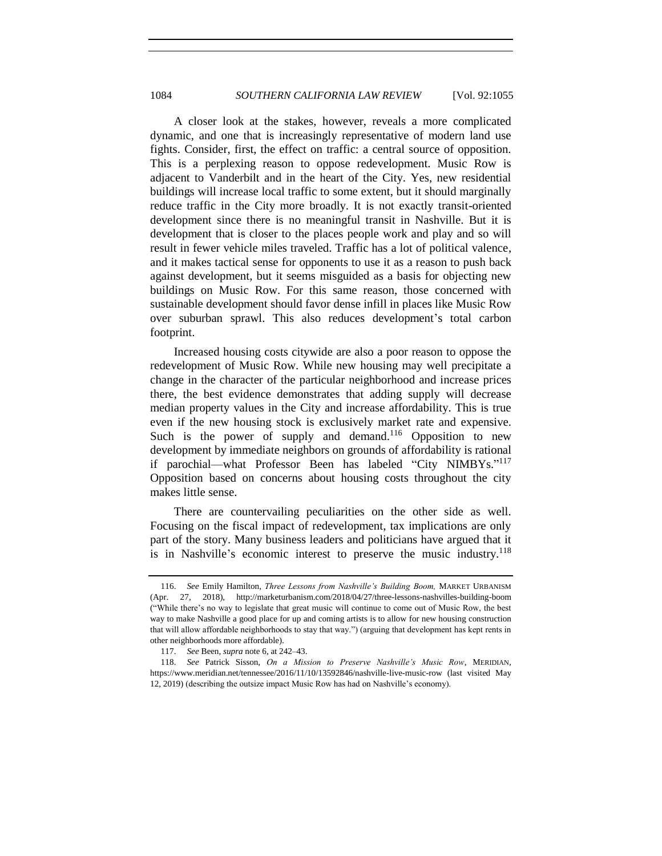A closer look at the stakes, however, reveals a more complicated dynamic, and one that is increasingly representative of modern land use fights. Consider, first, the effect on traffic: a central source of opposition. This is a perplexing reason to oppose redevelopment. Music Row is adjacent to Vanderbilt and in the heart of the City. Yes, new residential buildings will increase local traffic to some extent, but it should marginally reduce traffic in the City more broadly. It is not exactly transit-oriented development since there is no meaningful transit in Nashville. But it is development that is closer to the places people work and play and so will result in fewer vehicle miles traveled. Traffic has a lot of political valence, and it makes tactical sense for opponents to use it as a reason to push back against development, but it seems misguided as a basis for objecting new buildings on Music Row. For this same reason, those concerned with sustainable development should favor dense infill in places like Music Row over suburban sprawl. This also reduces development's total carbon footprint.

Increased housing costs citywide are also a poor reason to oppose the redevelopment of Music Row. While new housing may well precipitate a change in the character of the particular neighborhood and increase prices there, the best evidence demonstrates that adding supply will decrease median property values in the City and increase affordability. This is true even if the new housing stock is exclusively market rate and expensive. Such is the power of supply and demand.<sup>116</sup> Opposition to new development by immediate neighbors on grounds of affordability is rational if parochial—what Professor Been has labeled "City NIMBYs."<sup>117</sup> Opposition based on concerns about housing costs throughout the city makes little sense.

There are countervailing peculiarities on the other side as well. Focusing on the fiscal impact of redevelopment, tax implications are only part of the story. Many business leaders and politicians have argued that it is in Nashville's economic interest to preserve the music industry.<sup>118</sup>

<sup>116.</sup> *See* Emily Hamilton, *Three Lessons from Nashville's Building Boom,* MARKET URBANISM (Apr. 27, 2018), http://marketurbanism.com/2018/04/27/three-lessons-nashvilles-building-boom ("While there's no way to legislate that great music will continue to come out of Music Row, the best way to make Nashville a good place for up and coming artists is to allow for new housing construction that will allow affordable neighborhoods to stay that way.") (arguing that development has kept rents in other neighborhoods more affordable).

<sup>117.</sup> *See* Been, *supra* note [6,](#page-1-0) at 242–43.

<sup>118.</sup> *See* Patrick Sisson, *On a Mission to Preserve Nashville's Music Row*, MERIDIAN, https://www.meridian.net/tennessee/2016/11/10/13592846/nashville-live-music-row (last visited May 12, 2019) (describing the outsize impact Music Row has had on Nashville's economy).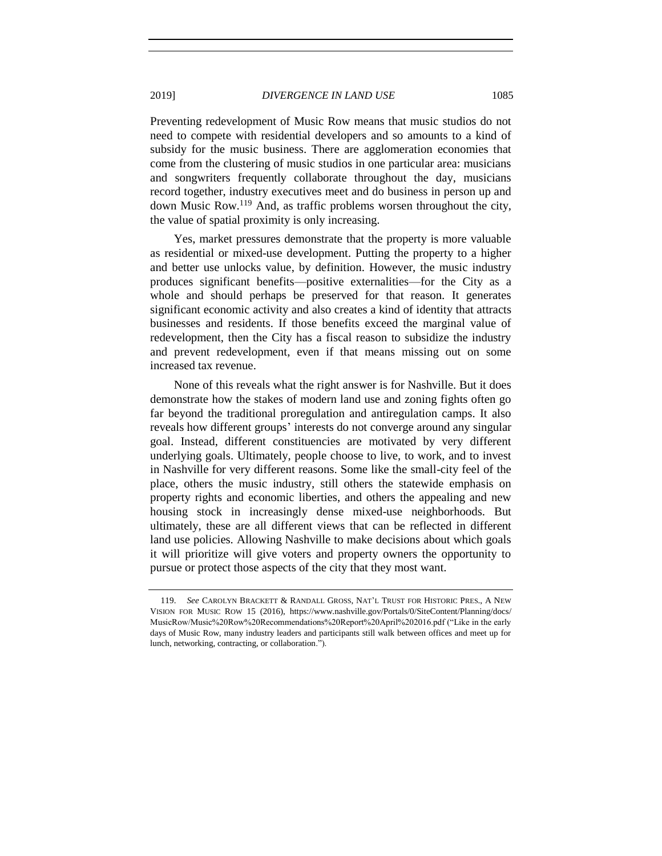Preventing redevelopment of Music Row means that music studios do not need to compete with residential developers and so amounts to a kind of subsidy for the music business. There are agglomeration economies that come from the clustering of music studios in one particular area: musicians and songwriters frequently collaborate throughout the day, musicians record together, industry executives meet and do business in person up and down Music Row.<sup>119</sup> And, as traffic problems worsen throughout the city, the value of spatial proximity is only increasing.

Yes, market pressures demonstrate that the property is more valuable as residential or mixed-use development. Putting the property to a higher and better use unlocks value, by definition. However, the music industry produces significant benefits—positive externalities—for the City as a whole and should perhaps be preserved for that reason. It generates significant economic activity and also creates a kind of identity that attracts businesses and residents. If those benefits exceed the marginal value of redevelopment, then the City has a fiscal reason to subsidize the industry and prevent redevelopment, even if that means missing out on some increased tax revenue.

None of this reveals what the right answer is for Nashville. But it does demonstrate how the stakes of modern land use and zoning fights often go far beyond the traditional proregulation and antiregulation camps. It also reveals how different groups' interests do not converge around any singular goal. Instead, different constituencies are motivated by very different underlying goals. Ultimately, people choose to live, to work, and to invest in Nashville for very different reasons. Some like the small-city feel of the place, others the music industry, still others the statewide emphasis on property rights and economic liberties, and others the appealing and new housing stock in increasingly dense mixed-use neighborhoods. But ultimately, these are all different views that can be reflected in different land use policies. Allowing Nashville to make decisions about which goals it will prioritize will give voters and property owners the opportunity to pursue or protect those aspects of the city that they most want.

<sup>119.</sup> *See* CAROLYN BRACKETT & RANDALL GROSS, NAT'L TRUST FOR HISTORIC PRES., A NEW VISION FOR MUSIC ROW 15 (2016), https://www.nashville.gov/Portals/0/SiteContent/Planning/docs/ MusicRow/Music%20Row%20Recommendations%20Report%20April%202016.pdf ("Like in the early days of Music Row, many industry leaders and participants still walk between offices and meet up for lunch, networking, contracting, or collaboration.").